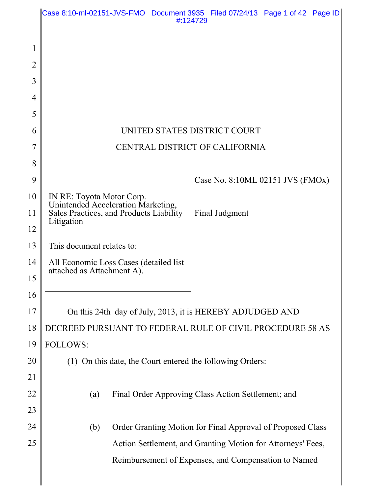|                | Case 8:10-ml-02151-JVS-FMO Document 3935 Filed 07/24/13 Page 1 of 42 Page ID<br>#:124729 |
|----------------|------------------------------------------------------------------------------------------|
|                |                                                                                          |
| 1              |                                                                                          |
| $\overline{2}$ |                                                                                          |
| 3              |                                                                                          |
| 4              |                                                                                          |
| 5              |                                                                                          |
| 6              | UNITED STATES DISTRICT COURT                                                             |
| 7              | CENTRAL DISTRICT OF CALIFORNIA                                                           |
| 8              |                                                                                          |
| 9              | Case No. 8:10ML 02151 JVS $(FMOx)$                                                       |
| 10             | IN RE: Toyota Motor Corp.<br>Unintended Acceleration Marketing,                          |
| 11             | Sales Practices, and Products Liability<br>Final Judgment<br>Litigation                  |
| 12             |                                                                                          |
| 13             | This document relates to:                                                                |
| 14             | All Economic Loss Cases (detailed list<br>attached as Attachment A).                     |
| 15             |                                                                                          |
| 16             |                                                                                          |
| 17             | On this 24th day of July, 2013, it is HEREBY ADJUDGED AND                                |
| 18             | DECREED PURSUANT TO FEDERAL RULE OF CIVIL PROCEDURE 58 AS                                |
| 19             | <b>FOLLOWS:</b>                                                                          |
| 20             | (1) On this date, the Court entered the following Orders:                                |
| 21             |                                                                                          |
| 22             | (a)<br>Final Order Approving Class Action Settlement; and                                |
| 23             |                                                                                          |
| 24             | Order Granting Motion for Final Approval of Proposed Class<br>(b)                        |
| 25             | Action Settlement, and Granting Motion for Attorneys' Fees,                              |
|                | Reimbursement of Expenses, and Compensation to Named                                     |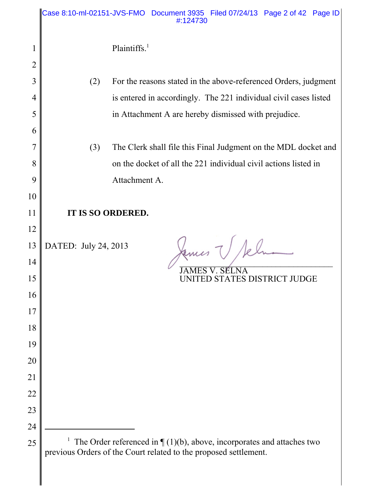|          | Case 8:10-ml-02151-JVS-FMO Document 3935 Filed 07/24/13 Page 2 of 42 Page ID<br>#:124730                                                      |  |  |  |  |  |  |  |
|----------|-----------------------------------------------------------------------------------------------------------------------------------------------|--|--|--|--|--|--|--|
| 1        | Plaintiffs. $1$                                                                                                                               |  |  |  |  |  |  |  |
| 2        |                                                                                                                                               |  |  |  |  |  |  |  |
| 3        | For the reasons stated in the above-referenced Orders, judgment<br>(2)                                                                        |  |  |  |  |  |  |  |
| 4        | is entered in accordingly. The 221 individual civil cases listed                                                                              |  |  |  |  |  |  |  |
| 5        | in Attachment A are hereby dismissed with prejudice.                                                                                          |  |  |  |  |  |  |  |
| 6        |                                                                                                                                               |  |  |  |  |  |  |  |
|          | The Clerk shall file this Final Judgment on the MDL docket and<br>(3)                                                                         |  |  |  |  |  |  |  |
| 8        | on the docket of all the 221 individual civil actions listed in                                                                               |  |  |  |  |  |  |  |
| 9        | Attachment A.                                                                                                                                 |  |  |  |  |  |  |  |
| 10<br>11 |                                                                                                                                               |  |  |  |  |  |  |  |
| 12       | IT IS SO ORDERED.                                                                                                                             |  |  |  |  |  |  |  |
| 13       | DATED: July 24, 2013                                                                                                                          |  |  |  |  |  |  |  |
| 14       |                                                                                                                                               |  |  |  |  |  |  |  |
| 15       | NITED STATES DISTRICT JU<br>DGE                                                                                                               |  |  |  |  |  |  |  |
| 16       |                                                                                                                                               |  |  |  |  |  |  |  |
| 17       |                                                                                                                                               |  |  |  |  |  |  |  |
| 18       |                                                                                                                                               |  |  |  |  |  |  |  |
| 19       |                                                                                                                                               |  |  |  |  |  |  |  |
| 20       |                                                                                                                                               |  |  |  |  |  |  |  |
| 21       |                                                                                                                                               |  |  |  |  |  |  |  |
| 22       |                                                                                                                                               |  |  |  |  |  |  |  |
| 23       |                                                                                                                                               |  |  |  |  |  |  |  |
| 24       |                                                                                                                                               |  |  |  |  |  |  |  |
| 25       | The Order referenced in $\P(1)(b)$ , above, incorporates and attaches two<br>previous Orders of the Court related to the proposed settlement. |  |  |  |  |  |  |  |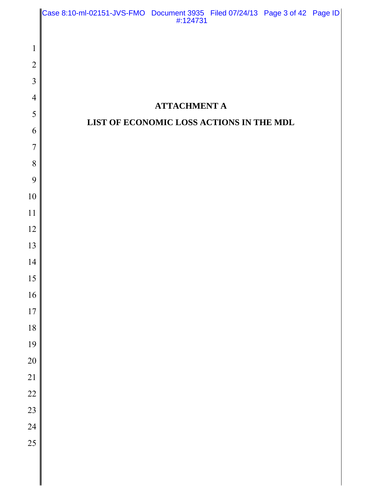|                     | Case 8:10-ml-02151-JVS-FMO Document 3935 Filed 07/24/13 Page 3 of 42 Page ID<br>#:124731 |  |
|---------------------|------------------------------------------------------------------------------------------|--|
|                     |                                                                                          |  |
| $\mathbf{1}$        |                                                                                          |  |
| $\overline{2}$      |                                                                                          |  |
| 3                   |                                                                                          |  |
| $\overline{4}$<br>5 | <b>ATTACHMENT A</b>                                                                      |  |
| 6                   | LIST OF ECONOMIC LOSS ACTIONS IN THE MDL                                                 |  |
| $\overline{7}$      |                                                                                          |  |
| 8                   |                                                                                          |  |
| 9                   |                                                                                          |  |
| 10                  |                                                                                          |  |
| 11                  |                                                                                          |  |
| 12                  |                                                                                          |  |
| 13                  |                                                                                          |  |
| 14                  |                                                                                          |  |
| 15                  |                                                                                          |  |
| 16                  |                                                                                          |  |
| 17                  |                                                                                          |  |
| 18                  |                                                                                          |  |
| 19                  |                                                                                          |  |
| 20                  |                                                                                          |  |
| $\overline{21}$     |                                                                                          |  |
| 22                  |                                                                                          |  |
| 23<br>24            |                                                                                          |  |
| 25                  |                                                                                          |  |
|                     |                                                                                          |  |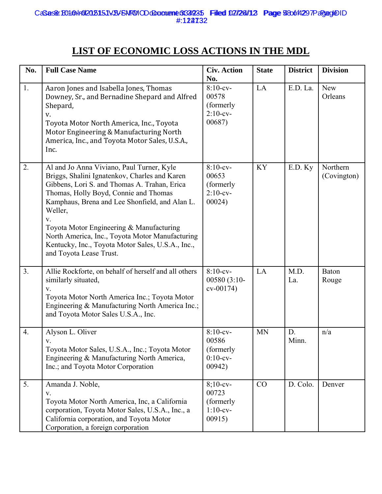# **LIST OF ECONOMIC LOSS ACTIONS IN THE MDL**

| No.            | <b>Full Case Name</b>                                                                                                                                                                                                                                                                                                                                                                                                                 | <b>Civ. Action</b><br>No.                                  | <b>State</b> | <b>District</b> | <b>Division</b>         |
|----------------|---------------------------------------------------------------------------------------------------------------------------------------------------------------------------------------------------------------------------------------------------------------------------------------------------------------------------------------------------------------------------------------------------------------------------------------|------------------------------------------------------------|--------------|-----------------|-------------------------|
| 1.             | Aaron Jones and Isabella Jones, Thomas<br>Downey, Sr., and Bernadine Shepard and Alfred<br>Shepard,<br>V.<br>Toyota Motor North America, Inc., Toyota<br>Motor Engineering & Manufacturing North<br>America, Inc., and Toyota Motor Sales, U.S.A.,<br>Inc.                                                                                                                                                                            | $8:10$ -cv-<br>00578<br>(formerly<br>$2:10$ -cv-<br>00687) | LA           | E.D. La.        | <b>New</b><br>Orleans   |
| 2.             | Al and Jo Anna Viviano, Paul Turner, Kyle<br>Briggs, Shalini Ignatenkov, Charles and Karen<br>Gibbens, Lori S. and Thomas A. Trahan, Erica<br>Thomas, Holly Boyd, Connie and Thomas<br>Kamphaus, Brena and Lee Shonfield, and Alan L.<br>Weller,<br>V.<br>Toyota Motor Engineering & Manufacturing<br>North America, Inc., Toyota Motor Manufacturing<br>Kentucky, Inc., Toyota Motor Sales, U.S.A., Inc.,<br>and Toyota Lease Trust. | $8:10$ -cv-<br>00653<br>(formerly<br>$2:10$ -cv-<br>00024) | <b>KY</b>    | E.D. Ky         | Northern<br>(Covington) |
| 3 <sub>1</sub> | Allie Rockforte, on behalf of herself and all others<br>similarly situated,<br>V.<br>Toyota Motor North America Inc.; Toyota Motor<br>Engineering & Manufacturing North America Inc.;<br>and Toyota Motor Sales U.S.A., Inc.                                                                                                                                                                                                          | $8:10$ -cv-<br>00580 (3:10-<br>$cv-00174)$                 | LA           | M.D.<br>La.     | <b>Baton</b><br>Rouge   |
| 4.             | Alyson L. Oliver<br>V.<br>Toyota Motor Sales, U.S.A., Inc.; Toyota Motor<br>Engineering & Manufacturing North America,<br>Inc.; and Toyota Motor Corporation                                                                                                                                                                                                                                                                          | $8:10$ -cv-<br>00586<br>(formerly<br>$0:10$ -cv-<br>00942) | <b>MN</b>    | D.<br>Minn.     | n/a                     |
| 5.             | Amanda J. Noble,<br>V.<br>Toyota Motor North America, Inc, a California<br>corporation, Toyota Motor Sales, U.S.A., Inc., a<br>California corporation, and Toyota Motor<br>Corporation, a foreign corporation                                                                                                                                                                                                                         | $8;10-cv-$<br>00723<br>(formerly<br>$1:10-cv-$<br>00915    | CO           | D. Colo.        | Denver                  |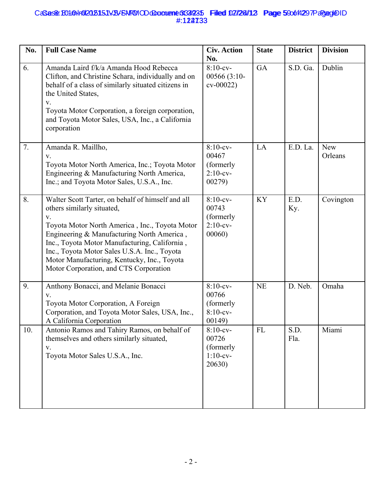## CaSas& B010Hr012015151VB/FNFMODdDaonene 3349235 Filled 02/24/12 Page 590014297PagageDID #:122733 Sas& B010Hr0202515JVSY5NFMODdDaanene 3339235 Filled 02/28/12 Page 590614297PagageD #:124733

| No. | <b>Full Case Name</b>                                                                                                                                                                                                                                                                                                                                                           | <b>Civ. Action</b><br>No.                                   | <b>State</b> | <b>District</b> | <b>Division</b> |
|-----|---------------------------------------------------------------------------------------------------------------------------------------------------------------------------------------------------------------------------------------------------------------------------------------------------------------------------------------------------------------------------------|-------------------------------------------------------------|--------------|-----------------|-----------------|
| 6.  | Amanda Laird f/k/a Amanda Hood Rebecca<br>Clifton, and Christine Schara, individually and on<br>behalf of a class of similarly situated citizens in<br>the United States,<br>V.<br>Toyota Motor Corporation, a foreign corporation,<br>and Toyota Motor Sales, USA, Inc., a California<br>corporation                                                                           | $8:10$ -cv-<br>00566 (3:10-<br>$cv-00022$                   | GA           | S.D. Ga.        | Dublin          |
| 7.  | Amanda R. Maillho,<br>V.<br>Toyota Motor North America, Inc.; Toyota Motor<br>Engineering & Manufacturing North America,<br>Inc.; and Toyota Motor Sales, U.S.A., Inc.                                                                                                                                                                                                          | $8:10$ -cv-<br>00467<br>(formerly)<br>$2:10$ -cv-<br>00279) | LA           | E.D. La.        | New<br>Orleans  |
| 8.  | Walter Scott Tarter, on behalf of himself and all<br>others similarly situated,<br>V.<br>Toyota Motor North America, Inc., Toyota Motor<br>Engineering & Manufacturing North America,<br>Inc., Toyota Motor Manufacturing, California,<br>Inc., Toyota Motor Sales U.S.A. Inc., Toyota<br>Motor Manufacturing, Kentucky, Inc., Toyota<br>Motor Corporation, and CTS Corporation | $8:10$ -cv-<br>00743<br>(formerly<br>$2:10$ -cv-<br>00060)  | <b>KY</b>    | E.D.<br>Ky.     | Covington       |
| 9.  | Anthony Bonacci, and Melanie Bonacci<br>V.<br>Toyota Motor Corporation, A Foreign<br>Corporation, and Toyota Motor Sales, USA, Inc.,<br>A California Corporation                                                                                                                                                                                                                | $8:10$ -cv-<br>00766<br>(formerly<br>$8:10-cv-$<br>00149)   | <b>NE</b>    | D. Neb.         | Omaha           |
| 10. | Antonio Ramos and Tahiry Ramos, on behalf of<br>themselves and others similarly situated,<br>V.<br>Toyota Motor Sales U.S.A., Inc.                                                                                                                                                                                                                                              | $8:10$ -cv-<br>00726<br>(formerly)<br>$1:10-cv-$<br>20630   | FL           | S.D.<br>Fla.    | Miami           |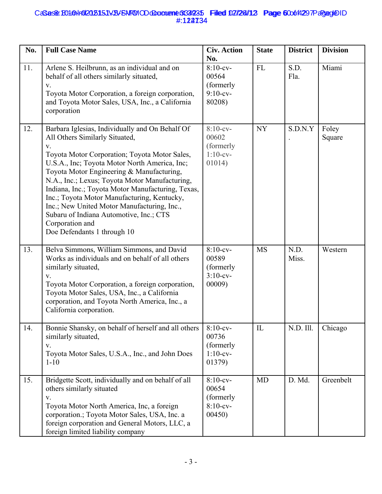# CaSas& B010Hr012015151VB/FNFMODdDaonene 3349235 Filled 02/24/12 Page 600014297PagageDID #:122734 Sas& B010Hr0202515JVSY5NFMODdDaanene 3339235 Filled 02/28/12 Page 600614297PagageD #:124734

| No. | <b>Full Case Name</b>                                                                                                                                                                                                                                                                                                                                                                                                                                                                                                                               | <b>Civ. Action</b><br>No.                                  | <b>State</b> | <b>District</b> | <b>Division</b> |
|-----|-----------------------------------------------------------------------------------------------------------------------------------------------------------------------------------------------------------------------------------------------------------------------------------------------------------------------------------------------------------------------------------------------------------------------------------------------------------------------------------------------------------------------------------------------------|------------------------------------------------------------|--------------|-----------------|-----------------|
| 11. | Arlene S. Heilbrunn, as an individual and on<br>behalf of all others similarly situated,<br>V.<br>Toyota Motor Corporation, a foreign corporation,<br>and Toyota Motor Sales, USA, Inc., a California<br>corporation                                                                                                                                                                                                                                                                                                                                | $8:10$ -cv-<br>00564<br>(formerly<br>$9:10$ -cv-<br>80208) | ${\rm FL}$   | S.D.<br>Fla.    | Miami           |
| 12. | Barbara Iglesias, Individually and On Behalf Of<br>All Others Similarly Situated,<br>$\mathbf{V}.$<br>Toyota Motor Corporation; Toyota Motor Sales,<br>U.S.A., Inc; Toyota Motor North America, Inc;<br>Toyota Motor Engineering & Manufacturing,<br>N.A., Inc.; Lexus; Toyota Motor Manufacturing,<br>Indiana, Inc.; Toyota Motor Manufacturing, Texas,<br>Inc.; Toyota Motor Manufacturing, Kentucky,<br>Inc.; New United Motor Manufacturing, Inc.,<br>Subaru of Indiana Automotive, Inc.; CTS<br>Corporation and<br>Doe Defendants 1 through 10 | $8:10$ -cv-<br>00602<br>(formerly<br>$1:10$ -cv-<br>01014) | <b>NY</b>    | S.D.N.Y         | Foley<br>Square |
| 13. | Belva Simmons, William Simmons, and David<br>Works as individuals and on behalf of all others<br>similarly situated,<br>V.<br>Toyota Motor Corporation, a foreign corporation,<br>Toyota Motor Sales, USA, Inc., a California<br>corporation, and Toyota North America, Inc., a<br>California corporation.                                                                                                                                                                                                                                          | $8:10$ -cv-<br>00589<br>(formerly<br>$3:10-cv-$<br>00009)  | <b>MS</b>    | N.D.<br>Miss.   | Western         |
| 14. | Bonnie Shansky, on behalf of herself and all others<br>similarly situated,<br>V.<br>Toyota Motor Sales, U.S.A., Inc., and John Does<br>$1 - 10$                                                                                                                                                                                                                                                                                                                                                                                                     | $8:10$ -cv-<br>00736<br>(formerly<br>$1:10$ -cv-<br>01379) | IL           | N.D. Ill.       | Chicago         |
| 15. | Bridgette Scott, individually and on behalf of all<br>others similarly situated<br>${\bf V}.$<br>Toyota Motor North America, Inc, a foreign<br>corporation.; Toyota Motor Sales, USA, Inc. a<br>foreign corporation and General Motors, LLC, a<br>foreign limited liability company                                                                                                                                                                                                                                                                 | $8:10$ -cv-<br>00654<br>(formerly<br>$8:10$ -cv-<br>00450  | <b>MD</b>    | D. Md.          | Greenbelt       |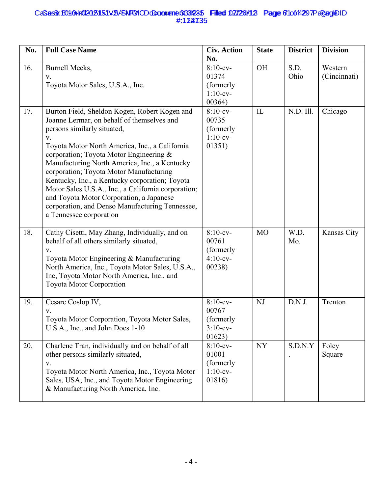## CaSas& B010Hr012015151VB/FNFMODdDaonene 3349235 Filled 02/24/12 Page 61o614297PagageDID #:122735 Sas& B010Hr0202515JVSY5NFMODdDaanente 3339235 Filled 02/28/12 Page 6106f4297PagageD #:124735

| No. | <b>Full Case Name</b>                                                                                                                                                                                                                                                                                                                                                                                                                                                                                                                                                | <b>Civ. Action</b><br>No.                                  | <b>State</b>   | <b>District</b> | <b>Division</b>         |
|-----|----------------------------------------------------------------------------------------------------------------------------------------------------------------------------------------------------------------------------------------------------------------------------------------------------------------------------------------------------------------------------------------------------------------------------------------------------------------------------------------------------------------------------------------------------------------------|------------------------------------------------------------|----------------|-----------------|-------------------------|
| 16. | <b>Burnell Meeks,</b><br>V.<br>Toyota Motor Sales, U.S.A., Inc.                                                                                                                                                                                                                                                                                                                                                                                                                                                                                                      | $8:10$ -cv-<br>01374<br>(formerly<br>$1:10$ -cv-<br>00364) | <b>OH</b>      | S.D.<br>Ohio    | Western<br>(Cincinnati) |
| 17. | Burton Field, Sheldon Kogen, Robert Kogen and<br>Joanne Lermar, on behalf of themselves and<br>persons similarly situated,<br>$V_{\tau}$<br>Toyota Motor North America, Inc., a California<br>corporation; Toyota Motor Engineering &<br>Manufacturing North America, Inc., a Kentucky<br>corporation; Toyota Motor Manufacturing<br>Kentucky, Inc., a Kentucky corporation; Toyota<br>Motor Sales U.S.A., Inc., a California corporation;<br>and Toyota Motor Corporation, a Japanese<br>corporation, and Denso Manufacturing Tennessee,<br>a Tennessee corporation | $8:10$ -cv-<br>00735<br>(formerly<br>$1:10$ -cv-<br>01351) | IL             | N.D. Ill.       | Chicago                 |
| 18. | Cathy Cisetti, May Zhang, Individually, and on<br>behalf of all others similarly situated,<br>$V_{r}$<br>Toyota Motor Engineering & Manufacturing<br>North America, Inc., Toyota Motor Sales, U.S.A.,<br>Inc, Toyota Motor North America, Inc., and<br><b>Toyota Motor Corporation</b>                                                                                                                                                                                                                                                                               | $8:10$ -cv-<br>00761<br>(formerly<br>$4:10-cv-$<br>00238)  | M <sub>O</sub> | W.D.<br>Mo.     | Kansas City             |
| 19. | Cesare Coslop IV,<br>V.<br>Toyota Motor Corporation, Toyota Motor Sales,<br>U.S.A., Inc., and John Does 1-10                                                                                                                                                                                                                                                                                                                                                                                                                                                         | $8:10$ -cv-<br>00767<br>(formerly<br>$3:10-cv-$<br>01623)  | NJ             | D.N.J.          | Trenton                 |
| 20. | Charlene Tran, individually and on behalf of all<br>other persons similarly situated,<br>V.<br>Toyota Motor North America, Inc., Toyota Motor<br>Sales, USA, Inc., and Toyota Motor Engineering<br>& Manufacturing North America, Inc.                                                                                                                                                                                                                                                                                                                               | $8:10$ -cv-<br>01001<br>(formerly<br>$1:10-cv-$<br>01816)  | <b>NY</b>      | S.D.N.Y         | Foley<br>Square         |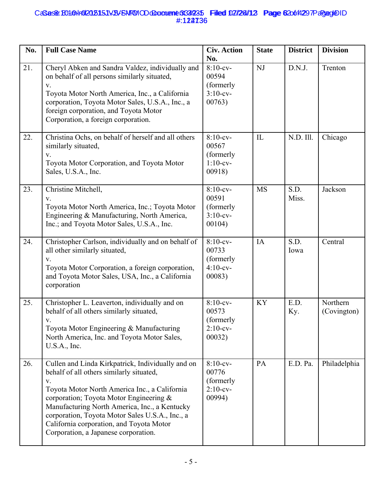# CaSas& B010Hr012015151VB/FNFMODdDacument 3349235 Filled 02/24/12 Page 620014297PagageDID #:122736 Sas& B010Hr0202515JVSY5NFMODdDaanente 3339235 Filled 02/28/12 Page 620614297PagageD #:124736

| No. | <b>Full Case Name</b>                                                                                                                                                                                                                                                                                                                                                                   | <b>Civ. Action</b><br>No.                                   | <b>State</b> | <b>District</b> | <b>Division</b>         |
|-----|-----------------------------------------------------------------------------------------------------------------------------------------------------------------------------------------------------------------------------------------------------------------------------------------------------------------------------------------------------------------------------------------|-------------------------------------------------------------|--------------|-----------------|-------------------------|
| 21. | Cheryl Abken and Sandra Valdez, individually and<br>on behalf of all persons similarly situated,<br>V.<br>Toyota Motor North America, Inc., a California<br>corporation, Toyota Motor Sales, U.S.A., Inc., a<br>foreign corporation, and Toyota Motor<br>Corporation, a foreign corporation.                                                                                            | $8:10$ -cv-<br>00594<br>(formerly<br>$3:10$ -cv-<br>00763)  | NJ           | D.N.J.          | Trenton                 |
| 22. | Christina Ochs, on behalf of herself and all others<br>similarly situated,<br>V.<br>Toyota Motor Corporation, and Toyota Motor<br>Sales, U.S.A., Inc.                                                                                                                                                                                                                                   | $8:10-cv-$<br>00567<br>(formerly<br>$1:10-cv-$<br>00918)    | $\mathbf{L}$ | N.D. Ill.       | Chicago                 |
| 23. | Christine Mitchell,<br>V.<br>Toyota Motor North America, Inc.; Toyota Motor<br>Engineering & Manufacturing, North America,<br>Inc.; and Toyota Motor Sales, U.S.A., Inc.                                                                                                                                                                                                                | $8:10$ -cv-<br>00591<br>(formerly<br>$3:10-cv-$<br>00104)   | <b>MS</b>    | S.D.<br>Miss.   | Jackson                 |
| 24. | Christopher Carlson, individually and on behalf of<br>all other similarly situated,<br>V.<br>Toyota Motor Corporation, a foreign corporation,<br>and Toyota Motor Sales, USA, Inc., a California<br>corporation                                                                                                                                                                         | $8:10$ -cv-<br>00733<br>(formerly<br>$4:10-cv-$<br>00083)   | IA           | S.D.<br>Iowa    | Central                 |
| 25. | Christopher L. Leaverton, individually and on<br>behalf of all others similarly situated,<br>V.<br>Toyota Motor Engineering & Manufacturing<br>North America, Inc. and Toyota Motor Sales,<br>U.S.A., Inc.                                                                                                                                                                              | $8:10$ -cv-<br>00573<br>(formerly<br>$2:10$ -cv-<br>00032)  | <b>KY</b>    | E.D.<br>Ky.     | Northern<br>(Covington) |
| 26. | Cullen and Linda Kirkpatrick, Individually and on<br>behalf of all others similarly situated,<br>V.<br>Toyota Motor North America Inc., a California<br>corporation; Toyota Motor Engineering &<br>Manufacturing North America, Inc., a Kentucky<br>corporation, Toyota Motor Sales U.S.A., Inc., a<br>California corporation, and Toyota Motor<br>Corporation, a Japanese corporation. | $8:10$ -cv-<br>00776<br>(formerly)<br>$2:10$ -cv-<br>00994) | PA           | E.D. Pa.        | Philadelphia            |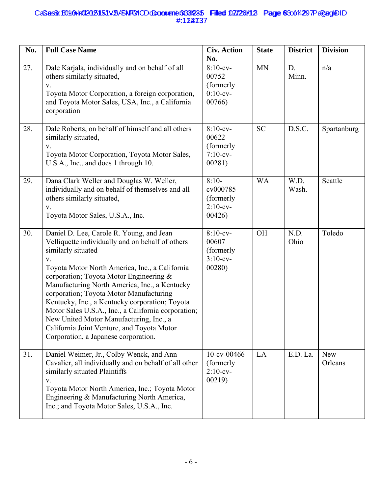# CaSas& B010Hr012015151VB/FNFMODdDacument 3349235 Filled 02/24/12 Page 630014297PagageDID #:122737 Sas& B010Hr0202515JVSY5NFMODdDaanene 3339235 Filled 02/28/12 Page 630614297PagageD #:124737

| No. | <b>Full Case Name</b>                                                                                                                                                                                                                                                                                                                                                                                                                                                                                                                                       | <b>Civ. Action</b><br>No.                                  | <b>State</b> | <b>District</b> | <b>Division</b> |
|-----|-------------------------------------------------------------------------------------------------------------------------------------------------------------------------------------------------------------------------------------------------------------------------------------------------------------------------------------------------------------------------------------------------------------------------------------------------------------------------------------------------------------------------------------------------------------|------------------------------------------------------------|--------------|-----------------|-----------------|
| 27. | Dale Karjala, individually and on behalf of all<br>others similarly situated,<br>V.<br>Toyota Motor Corporation, a foreign corporation,<br>and Toyota Motor Sales, USA, Inc., a California<br>corporation                                                                                                                                                                                                                                                                                                                                                   | $8:10$ -cv-<br>00752<br>(formerly<br>$0:10$ -cv-<br>00766  | <b>MN</b>    | D.<br>Minn.     | n/a             |
| 28. | Dale Roberts, on behalf of himself and all others<br>similarly situated,<br>${\bf V}.$<br>Toyota Motor Corporation, Toyota Motor Sales,<br>U.S.A., Inc., and does 1 through 10.                                                                                                                                                                                                                                                                                                                                                                             | $8:10$ -cv-<br>00622<br>(formerly<br>$7:10$ -cv-<br>00281) | <b>SC</b>    | D.S.C.          | Spartanburg     |
| 29. | Dana Clark Weller and Douglas W. Weller,<br>individually and on behalf of themselves and all<br>others similarly situated,<br>V.<br>Toyota Motor Sales, U.S.A., Inc.                                                                                                                                                                                                                                                                                                                                                                                        | $8:10-$<br>cv000785<br>(formerly<br>$2:10$ -cv-<br>00426   | <b>WA</b>    | W.D.<br>Wash.   | Seattle         |
| 30. | Daniel D. Lee, Carole R. Young, and Jean<br>Velliquette individually and on behalf of others<br>similarly situated<br>V.<br>Toyota Motor North America, Inc., a California<br>corporation; Toyota Motor Engineering &<br>Manufacturing North America, Inc., a Kentucky<br>corporation; Toyota Motor Manufacturing<br>Kentucky, Inc., a Kentucky corporation; Toyota<br>Motor Sales U.S.A., Inc., a California corporation;<br>New United Motor Manufacturing, Inc., a<br>California Joint Venture, and Toyota Motor<br>Corporation, a Japanese corporation. | $8:10$ -cv-<br>00607<br>(formerly<br>$3:10$ -cv-<br>00280) | <b>OH</b>    | N.D.<br>Ohio    | Toledo          |
| 31. | Daniel Weimer, Jr., Colby Wenck, and Ann<br>Cavalier, all individually and on behalf of all other<br>similarly situated Plaintiffs<br>V.<br>Toyota Motor North America, Inc.; Toyota Motor<br>Engineering & Manufacturing North America,<br>Inc.; and Toyota Motor Sales, U.S.A., Inc.                                                                                                                                                                                                                                                                      | $10$ -cv-00466<br>(formerly<br>$2:10$ -cv-<br>00219        | LA           | E.D. La.        | New<br>Orleans  |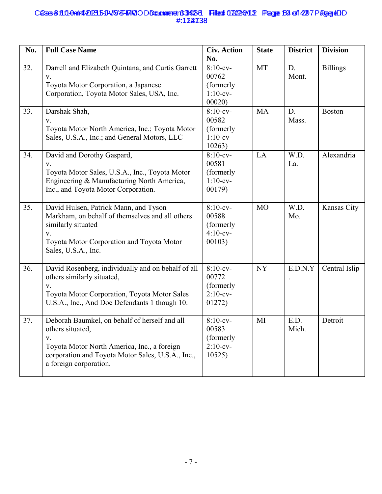## Cases 8:3.0-0nlr0202315-11-VSS-FMOODDcammeret183423-1 Filed 02/246/11.2 Page 64 of 4297 Page 4DD #:122738 **6558:30-0a1r0-20235-11-VSS-FRIQODDcomment 3423-3 Filed 02/24/11.2 Page 64 of 42 7 Page 40** #:124738

| No. | <b>Full Case Name</b>                                                                                                                                                                                 | <b>Civ. Action</b><br>No.                                  | <b>State</b>   | <b>District</b> | <b>Division</b> |
|-----|-------------------------------------------------------------------------------------------------------------------------------------------------------------------------------------------------------|------------------------------------------------------------|----------------|-----------------|-----------------|
| 32. | Darrell and Elizabeth Quintana, and Curtis Garrett<br>V.<br>Toyota Motor Corporation, a Japanese<br>Corporation, Toyota Motor Sales, USA, Inc.                                                        | $8:10$ -cv-<br>00762<br>(formerly<br>$1:10-cv-$<br>00020   | MT             | D.<br>Mont.     | <b>Billings</b> |
| 33. | Darshak Shah,<br>V.<br>Toyota Motor North America, Inc.; Toyota Motor<br>Sales, U.S.A., Inc.; and General Motors, LLC                                                                                 | $8:10$ -cv-<br>00582<br>(formerly<br>$1:10$ -cv-<br>10263) | <b>MA</b>      | D.<br>Mass.     | <b>Boston</b>   |
| 34. | David and Dorothy Gaspard,<br>V.<br>Toyota Motor Sales, U.S.A., Inc., Toyota Motor<br>Engineering & Manufacturing North America,<br>Inc., and Toyota Motor Corporation.                               | $8:10$ -cv-<br>00581<br>(formerly)<br>$1:10-cv-$<br>00179) | LA             | W.D.<br>La.     | Alexandria      |
| 35. | David Hulsen, Patrick Mann, and Tyson<br>Markham, on behalf of themselves and all others<br>similarly situated<br>V.<br>Toyota Motor Corporation and Toyota Motor<br>Sales, U.S.A., Inc.              | $8:10$ -cv-<br>00588<br>(formerly<br>$4:10$ -cv-<br>00103) | M <sub>O</sub> | W.D.<br>Mo.     | Kansas City     |
| 36. | David Rosenberg, individually and on behalf of all<br>others similarly situated,<br>$\mathbf V$ .<br>Toyota Motor Corporation, Toyota Motor Sales<br>U.S.A., Inc., And Doe Defendants 1 though 10.    | $8:10$ -cv-<br>00772<br>(formerly<br>$2:10$ -cv-<br>01272) | <b>NY</b>      | E.D.N.Y         | Central Islip   |
| 37. | Deborah Baumkel, on behalf of herself and all<br>others situated,<br>V.<br>Toyota Motor North America, Inc., a foreign<br>corporation and Toyota Motor Sales, U.S.A., Inc.,<br>a foreign corporation. | $8:10$ -cv-<br>00583<br>(formerly<br>$2:10$ -cv-<br>10525  | MI             | E.D.<br>Mich.   | Detroit         |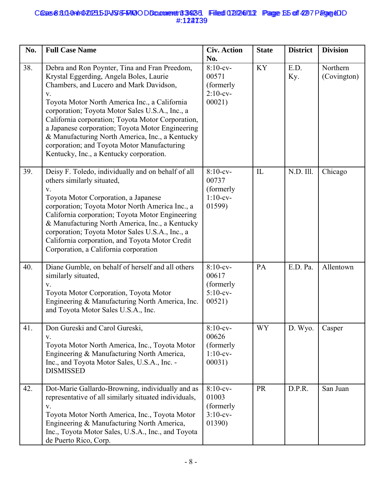## Cases 8:3.0-0nlr0202315-11-VSS-FMOODDcammeret183423-1 Filed 02/246/11.2 Page 615 of 4297 Page &DD #:122739 **6558:30-0ah1020235JVSS-FMO ODComment 39235 Filed 02/24/13 Page 65 of 42 7 Page 40** #:124739

| No. | <b>Full Case Name</b>                                                                                                                                                                                                                                                                                                                                                                                                                                                                               | <b>Civ. Action</b><br>No.                                  | <b>State</b> | <b>District</b> | <b>Division</b>         |
|-----|-----------------------------------------------------------------------------------------------------------------------------------------------------------------------------------------------------------------------------------------------------------------------------------------------------------------------------------------------------------------------------------------------------------------------------------------------------------------------------------------------------|------------------------------------------------------------|--------------|-----------------|-------------------------|
| 38. | Debra and Ron Poynter, Tina and Fran Preedom,<br>Krystal Eggerding, Angela Boles, Laurie<br>Chambers, and Lucero and Mark Davidson,<br>V.<br>Toyota Motor North America Inc., a California<br>corporation; Toyota Motor Sales U.S.A., Inc., a<br>California corporation; Toyota Motor Corporation,<br>a Japanese corporation; Toyota Motor Engineering<br>& Manufacturing North America, Inc., a Kentucky<br>corporation; and Toyota Motor Manufacturing<br>Kentucky, Inc., a Kentucky corporation. | $8:10$ -cv-<br>00571<br>(formerly<br>$2:10$ -cv-<br>00021) | <b>KY</b>    | E.D.<br>Ky.     | Northern<br>(Covington) |
| 39. | Deisy F. Toledo, individually and on behalf of all<br>others similarly situated,<br>$V_{r}$<br>Toyota Motor Corporation, a Japanese<br>corporation; Toyota Motor North America Inc., a<br>California corporation; Toyota Motor Engineering<br>& Manufacturing North America, Inc., a Kentucky<br>corporation; Toyota Motor Sales U.S.A., Inc., a<br>California corporation, and Toyota Motor Credit<br>Corporation, a California corporation                                                        | $8:10$ -cv-<br>00737<br>(formerly<br>$1:10-cv-$<br>01599)  | IL           | N.D. Ill.       | Chicago                 |
| 40. | Diane Gumble, on behalf of herself and all others<br>similarly situated,<br>V.<br>Toyota Motor Corporation, Toyota Motor<br>Engineering & Manufacturing North America, Inc.<br>and Toyota Motor Sales U.S.A., Inc.                                                                                                                                                                                                                                                                                  | $8:10$ -cv-<br>00617<br>(formerly<br>$5:10$ -cv-<br>00521) | PA           | E.D. Pa.        | Allentown               |
| 41. | Don Gureski and Carol Gureski,<br>V.<br>Toyota Motor North America, Inc., Toyota Motor<br>Engineering & Manufacturing North America,<br>Inc., and Toyota Motor Sales, U.S.A., Inc. -<br><b>DISMISSED</b>                                                                                                                                                                                                                                                                                            | $8:10-cv-$<br>00626<br>(formerly<br>$1:10$ -cv-<br>00031)  | <b>WY</b>    | D. Wyo.         | Casper                  |
| 42. | Dot-Marie Gallardo-Browning, individually and as<br>representative of all similarly situated individuals,<br>V.<br>Toyota Motor North America, Inc., Toyota Motor<br>Engineering & Manufacturing North America,<br>Inc., Toyota Motor Sales, U.S.A., Inc., and Toyota<br>de Puerto Rico, Corp.                                                                                                                                                                                                      | $8:10$ -cv-<br>01003<br>(formerly<br>$3:10-cv-$<br>01390)  | <b>PR</b>    | D.P.R.          | San Juan                |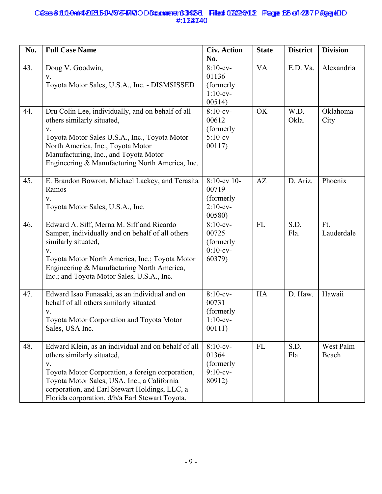## Cases 8:3.0-0nlr0202315-11-VSS-FMOODDcammeret183423-1 Filed 02/246/11.2 Page 625 of 4297 Page &DD #:122740 **6558:30-09 PD 20235-DD 35-FMO OD Document 39425 Filed 07/24/13 Page 62 of 427 Page 40** #:124740

| No. | <b>Full Case Name</b>                                                                                                                                                                                                                                                                                    | <b>Civ. Action</b><br>No.                                     | <b>State</b> | <b>District</b> | <b>Division</b>    |
|-----|----------------------------------------------------------------------------------------------------------------------------------------------------------------------------------------------------------------------------------------------------------------------------------------------------------|---------------------------------------------------------------|--------------|-----------------|--------------------|
| 43. | Doug V. Goodwin,<br>V.<br>Toyota Motor Sales, U.S.A., Inc. - DISMSISSED                                                                                                                                                                                                                                  | $8:10-cv-$<br>01136<br>(formerly<br>$1:10$ -cv-<br>00514)     | <b>VA</b>    | E.D. Va.        | Alexandria         |
| 44. | Dru Colin Lee, individually, and on behalf of all<br>others similarly situated,<br>V.<br>Toyota Motor Sales U.S.A., Inc., Toyota Motor<br>North America, Inc., Toyota Motor<br>Manufacturing, Inc., and Toyota Motor<br>Engineering & Manufacturing North America, Inc.                                  | $8:10$ -cv-<br>00612<br>(formerly<br>$5:10$ -cv-<br>00117)    | OK           | W.D.<br>Okla.   | Oklahoma<br>City   |
| 45. | E. Brandon Bowron, Michael Lackey, and Terasita<br>Ramos<br>V.<br>Toyota Motor Sales, U.S.A., Inc.                                                                                                                                                                                                       | $8:10$ -cv 10-<br>00719<br>(formerly<br>$2:10$ -cv-<br>00580) | AZ           | D. Ariz.        | Phoenix            |
| 46. | Edward A. Siff, Merna M. Siff and Ricardo<br>Samper, individually and on behalf of all others<br>similarly situated,<br>V.<br>Toyota Motor North America, Inc.; Toyota Motor<br>Engineering & Manufacturing North America,<br>Inc.; and Toyota Motor Sales, U.S.A., Inc.                                 | $8:10$ -cv-<br>00725<br>(formerly<br>$0:10$ -cv-<br>60379)    | <b>FL</b>    | S.D.<br>Fla.    | Ft.<br>Lauderdale  |
| 47. | Edward Isao Funasaki, as an individual and on<br>behalf of all others similarly situated<br>V.<br>Toyota Motor Corporation and Toyota Motor<br>Sales, USA Inc.                                                                                                                                           | $8:10$ -cv-<br>00731<br>(formerly<br>$1:10$ -cv-<br>00111)    | <b>HA</b>    | D. Haw.         | Hawaii             |
| 48. | Edward Klein, as an individual and on behalf of all<br>others similarly situated,<br>$V_{\cdot}$<br>Toyota Motor Corporation, a foreign corporation,<br>Toyota Motor Sales, USA, Inc., a California<br>corporation, and Earl Stewart Holdings, LLC, a<br>Florida corporation, d/b/a Earl Stewart Toyota, | $8:10$ -cv-<br>01364<br>(formerly)<br>$9:10-cv-$<br>80912)    | <b>FL</b>    | S.D.<br>Fla.    | West Palm<br>Beach |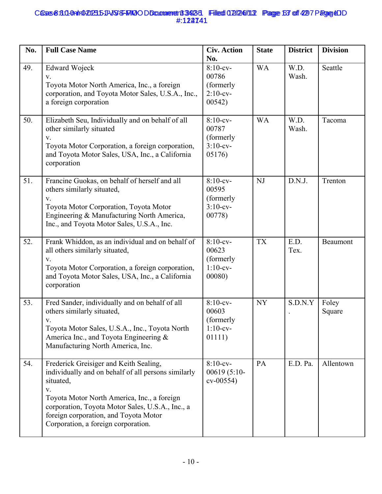## Cases 8:3.0-0nlr0202315-11-VSS-FMOODDcammeret183423-1 Filed 02/246/11.2 Page 63 of 4297 Page &DD #:122741 **6558:30-0ah1020235JVSS-FAKO DDcomment 39235 Filed 02/24/13 Page 63 of 42 7 Page 4D** #:124741

| No. | <b>Full Case Name</b>                                                                                                                                                                                                                                                                               | <b>Civ. Action</b><br>No.                                   | <b>State</b> | <b>District</b> | <b>Division</b> |
|-----|-----------------------------------------------------------------------------------------------------------------------------------------------------------------------------------------------------------------------------------------------------------------------------------------------------|-------------------------------------------------------------|--------------|-----------------|-----------------|
| 49. | Edward Wojeck<br>V.<br>Toyota Motor North America, Inc., a foreign<br>corporation, and Toyota Motor Sales, U.S.A., Inc.,<br>a foreign corporation                                                                                                                                                   | $8:10-cv-$<br>00786<br>(formerly<br>$2:10$ -cv-<br>00542)   | <b>WA</b>    | W.D.<br>Wash.   | Seattle         |
| 50. | Elizabeth Seu, Individually and on behalf of all<br>other similarly situated<br>V.<br>Toyota Motor Corporation, a foreign corporation,<br>and Toyota Motor Sales, USA, Inc., a California<br>corporation                                                                                            | $8:10$ -cv-<br>00787<br>(formerly<br>$3:10$ -cv-<br>05176)  | <b>WA</b>    | W.D.<br>Wash.   | Tacoma          |
| 51. | Francine Guokas, on behalf of herself and all<br>others similarly situated,<br>V.<br>Toyota Motor Corporation, Toyota Motor<br>Engineering & Manufacturing North America,<br>Inc., and Toyota Motor Sales, U.S.A., Inc.                                                                             | $8:10$ -cv-<br>00595<br>(formerly<br>$3:10$ -cv-<br>00778)  | NJ           | D.N.J.          | Trenton         |
| 52. | Frank Whiddon, as an individual and on behalf of<br>all others similarly situated,<br>V.<br>Toyota Motor Corporation, a foreign corporation,<br>and Toyota Motor Sales, USA, Inc., a California<br>corporation                                                                                      | $8:10$ -cv-<br>00623<br>(formerly<br>$1:10$ -cv-<br>00080)  | <b>TX</b>    | E.D.<br>Tex.    | Beaumont        |
| 53. | Fred Sander, individually and on behalf of all<br>others similarly situated,<br>V.<br>Toyota Motor Sales, U.S.A., Inc., Toyota North<br>America Inc., and Toyota Engineering $\&$<br>Manufacturing North America, Inc.                                                                              | $8:10$ -cv-<br>00603<br>(formerly)<br>$1:10$ -cv-<br>01111) | <b>NY</b>    | S.D.N.Y         | Foley<br>Square |
| 54. | Frederick Greisiger and Keith Sealing,<br>individually and on behalf of all persons similarly<br>situated,<br>V.<br>Toyota Motor North America, Inc., a foreign<br>corporation, Toyota Motor Sales, U.S.A., Inc., a<br>foreign corporation, and Toyota Motor<br>Corporation, a foreign corporation. | $8:10-cv-$<br>$00619(5:10-$<br>$cv-00554)$                  | PA           | E.D. Pa.        | Allentown       |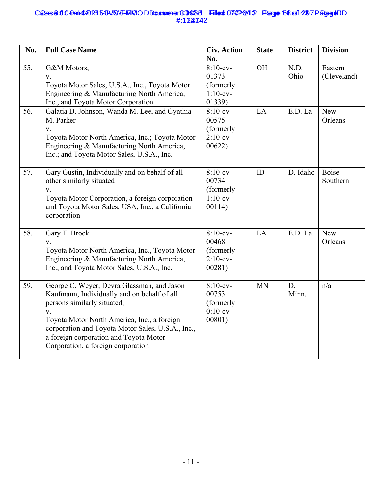## Cases 8:3.0-0nlr0202315-11-VSS-FMOODDcammeret183423-1 Filed 02/246/11.2 Page 64 of 4297 Page &DD #:122742 **6558:311-0ahr020235JVJSS-FAKO O Documenen 33423 Filed 02/24/113 Page 68 of 42 7 Page 4D** #:124742

| No. | <b>Full Case Name</b>                                                                                                                                                                                                                                                                                                       | <b>Civ. Action</b><br>No.                                  | <b>State</b> | <b>District</b> | <b>Division</b>        |
|-----|-----------------------------------------------------------------------------------------------------------------------------------------------------------------------------------------------------------------------------------------------------------------------------------------------------------------------------|------------------------------------------------------------|--------------|-----------------|------------------------|
| 55. | G&M Motors,<br>V.<br>Toyota Motor Sales, U.S.A., Inc., Toyota Motor<br>Engineering & Manufacturing North America,<br>Inc., and Toyota Motor Corporation                                                                                                                                                                     | $8:10-cv-$<br>01373<br>(formerly<br>$1:10$ -cv-<br>01339)  | <b>OH</b>    | N.D.<br>Ohio    | Eastern<br>(Cleveland) |
| 56. | Galatia D. Johnson, Wanda M. Lee, and Cynthia<br>M. Parker<br>$V_{\star}$<br>Toyota Motor North America, Inc.; Toyota Motor<br>Engineering & Manufacturing North America,<br>Inc.; and Toyota Motor Sales, U.S.A., Inc.                                                                                                     | $8:10$ -cv-<br>00575<br>(formerly<br>$2:10$ -cv-<br>00622) | LA           | E.D. La         | New<br>Orleans         |
| 57. | Gary Gustin, Individually and on behalf of all<br>other similarly situated<br>$V_{\star}$<br>Toyota Motor Corporation, a foreign corporation<br>and Toyota Motor Sales, USA, Inc., a California<br>corporation                                                                                                              | $8:10$ -cv-<br>00734<br>(formerly<br>$1:10-cv-$<br>00114)  | ID           | D. Idaho        | Boise-<br>Southern     |
| 58. | Gary T. Brock<br>V.<br>Toyota Motor North America, Inc., Toyota Motor<br>Engineering & Manufacturing North America,<br>Inc., and Toyota Motor Sales, U.S.A., Inc.                                                                                                                                                           | $8:10-cv-$<br>00468<br>(formerly<br>$2:10$ -cv-<br>00281)  | LA           | E.D. La.        | New<br>Orleans         |
| 59. | George C. Weyer, Devra Glassman, and Jason<br>Kaufmann, Individually and on behalf of all<br>persons similarly situated,<br>$V_{\star}$<br>Toyota Motor North America, Inc., a foreign<br>corporation and Toyota Motor Sales, U.S.A., Inc.,<br>a foreign corporation and Toyota Motor<br>Corporation, a foreign corporation | $8:10-cv-$<br>00753<br>(formerly<br>$0:10$ -cv-<br>00801)  | <b>MN</b>    | D.<br>Minn.     | n/a                    |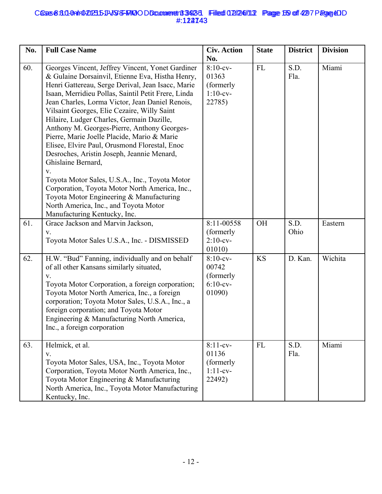## Cases 8:3.0-0nlr0202315-11-VSS-FMOODDcammerent 3423-1 Filed 02/246/11.2 Page 169 of 4297 Page &DD #:122743 **6558:30-09 PD 20235-DD 35-FMO OD Document 39425 Filed 07/24/13 Page 65 of 427 Page 40** #:124743

| No. | <b>Full Case Name</b>                                                                                                                                                                                                                                                                                                                                                                                                                                                                                                                                                                                                                                                                                                                                                                                             | <b>Civ. Action</b><br>No.                                  | <b>State</b> | <b>District</b> | <b>Division</b> |
|-----|-------------------------------------------------------------------------------------------------------------------------------------------------------------------------------------------------------------------------------------------------------------------------------------------------------------------------------------------------------------------------------------------------------------------------------------------------------------------------------------------------------------------------------------------------------------------------------------------------------------------------------------------------------------------------------------------------------------------------------------------------------------------------------------------------------------------|------------------------------------------------------------|--------------|-----------------|-----------------|
| 60. | Georges Vincent, Jeffrey Vincent, Yonet Gardiner<br>& Gulaine Dorsainvil, Etienne Eva, Histha Henry,<br>Henri Gattereau, Serge Derival, Jean Isacc, Marie<br>Isaan, Merridieu Pollas, Saintil Petit Frere, Linda<br>Jean Charles, Lorma Victor, Jean Daniel Renois,<br>Vilsaint Georges, Elie Cezaire, Willy Saint<br>Hilaire, Ludger Charles, Germain Dazille,<br>Anthony M. Georges-Pierre, Anthony Georges-<br>Pierre, Marie Joelle Placide, Mario & Marie<br>Elisee, Elvire Paul, Orusmond Florestal, Enoc<br>Desroches, Aristin Joseph, Jeannie Menard,<br>Ghislaine Bernard,<br>V.<br>Toyota Motor Sales, U.S.A., Inc., Toyota Motor<br>Corporation, Toyota Motor North America, Inc.,<br>Toyota Motor Engineering & Manufacturing<br>North America, Inc., and Toyota Motor<br>Manufacturing Kentucky, Inc. | $8:10$ -cv-<br>01363<br>(formerly<br>$1:10$ -cv-<br>22785) | <b>FL</b>    | S.D.<br>Fla.    | Miami           |
| 61. | Grace Jackson and Marvin Jackson,<br>$V_{r}$<br>Toyota Motor Sales U.S.A., Inc. - DISMISSED                                                                                                                                                                                                                                                                                                                                                                                                                                                                                                                                                                                                                                                                                                                       | 8:11-00558<br>(formerly<br>$2:10$ -cv-<br>01010            | OH           | S.D.<br>Ohio    | Eastern         |
| 62. | H.W. "Bud" Fanning, individually and on behalf<br>of all other Kansans similarly situated,<br>V.<br>Toyota Motor Corporation, a foreign corporation;<br>Toyota Motor North America, Inc., a foreign<br>corporation; Toyota Motor Sales, U.S.A., Inc., a<br>foreign corporation; and Toyota Motor<br>Engineering & Manufacturing North America,<br>Inc., a foreign corporation                                                                                                                                                                                                                                                                                                                                                                                                                                     | $8:10$ -cv-<br>00742<br>(formerly<br>$6:10-cv-$<br>01090)  | <b>KS</b>    | D. Kan.         | Wichita         |
| 63. | Helmick, et al.<br>V.<br>Toyota Motor Sales, USA, Inc., Toyota Motor<br>Corporation, Toyota Motor North America, Inc.,<br>Toyota Motor Engineering & Manufacturing<br>North America, Inc., Toyota Motor Manufacturing<br>Kentucky, Inc.                                                                                                                                                                                                                                                                                                                                                                                                                                                                                                                                                                           | $8:11-cv-$<br>01136<br>(formerly<br>$1:11-cv-$<br>22492)   | FL           | S.D.<br>Fla.    | Miami           |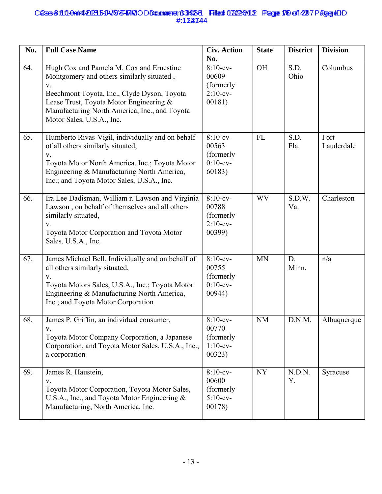## Cases 8:3.0-0nlr0202315-11-VSS-FMOODDcammeret183423-1 Filed 02/246/11.2 Page 176 of 4297 Page &DD #:122744 **6558:30-0a1r0-20235-11-VSS-FRIQODDcomment 3423-3 Filed 02/24/11.2 Page 16 of 42 7 Page 40** #:124744

| No. | <b>Full Case Name</b>                                                                                                                                                                                                                                               | <b>Civ. Action</b><br>No.                                   | <b>State</b> | <b>District</b> | <b>Division</b>    |
|-----|---------------------------------------------------------------------------------------------------------------------------------------------------------------------------------------------------------------------------------------------------------------------|-------------------------------------------------------------|--------------|-----------------|--------------------|
| 64. | Hugh Cox and Pamela M. Cox and Ernestine<br>Montgomery and others similarly situated,<br>V.<br>Beechmont Toyota, Inc., Clyde Dyson, Toyota<br>Lease Trust, Toyota Motor Engineering &<br>Manufacturing North America, Inc., and Toyota<br>Motor Sales, U.S.A., Inc. | $8:10$ -cv-<br>00609<br>(formerly<br>$2:10$ -cv-<br>00181)  | OH           | S.D.<br>Ohio    | Columbus           |
| 65. | Humberto Rivas-Vigil, individually and on behalf<br>of all others similarly situated,<br>V.<br>Toyota Motor North America, Inc.; Toyota Motor<br>Engineering & Manufacturing North America,<br>Inc.; and Toyota Motor Sales, U.S.A., Inc.                           | $8:10$ -cv-<br>00563<br>(formerly<br>$0:10$ -cv-<br>60183)  | <b>FL</b>    | S.D.<br>Fla.    | Fort<br>Lauderdale |
| 66. | Ira Lee Dadisman, William r. Lawson and Virginia<br>Lawson, on behalf of themselves and all others<br>similarly situated,<br>V.<br>Toyota Motor Corporation and Toyota Motor<br>Sales, U.S.A., Inc.                                                                 | $8:10$ -cv-<br>00788<br>(formerly<br>$2:10$ -cv-<br>00399)  | <b>WV</b>    | S.D.W.<br>Va.   | Charleston         |
| 67. | James Michael Bell, Individually and on behalf of<br>all others similarly situated,<br>V.<br>Toyota Motors Sales, U.S.A., Inc.; Toyota Motor<br>Engineering & Manufacturing North America,<br>Inc.; and Toyota Motor Corporation                                    | $8:10$ -cv-<br>00755<br>(formerly<br>$0:10$ -cv-<br>00944)  | <b>MN</b>    | D.<br>Minn.     | n/a                |
| 68. | James P. Griffin, an individual consumer,<br>V.<br>Toyota Motor Company Corporation, a Japanese<br>Corporation, and Toyota Motor Sales, U.S.A., Inc.,<br>a corporation                                                                                              | $8:10$ -cv-<br>00770<br>(formerly)<br>$1:10$ -cv-<br>00323) | <b>NM</b>    | D.N.M.          | Albuquerque        |
| 69. | James R. Haustein,<br>V.<br>Toyota Motor Corporation, Toyota Motor Sales,<br>U.S.A., Inc., and Toyota Motor Engineering &<br>Manufacturing, North America, Inc.                                                                                                     | $8:10$ -cv-<br>00600<br>(formerly<br>$5:10$ -cv-<br>00178)  | <b>NY</b>    | N.D.N.<br>Y.    | Syracuse           |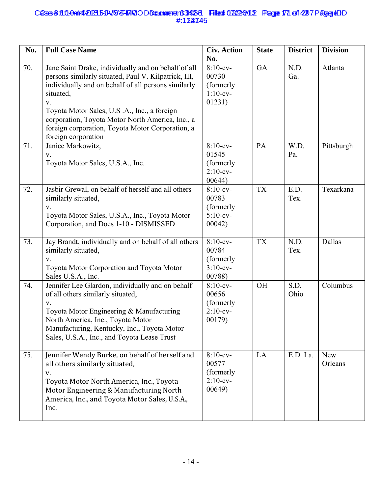## Cases 8:3.0-0nlr0202315-11-VSS-FMOODDcammeret183423-1 Filed 02/246/11.2 Page 171 of 4297 Page &DD #:122745 **6558:30-0ah1020235JVSS-FAKO DDcomment 39235 Filed 02/24/13 Page 71 of 42 7 Page 4D** #:124745

| No. | <b>Full Case Name</b>                                                                                                                                                                                                                                                                                                                                                       | <b>Civ. Action</b><br>No.                                  | <b>State</b> | <b>District</b> | <b>Division</b>       |
|-----|-----------------------------------------------------------------------------------------------------------------------------------------------------------------------------------------------------------------------------------------------------------------------------------------------------------------------------------------------------------------------------|------------------------------------------------------------|--------------|-----------------|-----------------------|
| 70. | Jane Saint Drake, individually and on behalf of all<br>persons similarly situated, Paul V. Kilpatrick, III,<br>individually and on behalf of all persons similarly<br>situated,<br>${\bf V}.$<br>Toyota Motor Sales, U.S.A., Inc., a foreign<br>corporation, Toyota Motor North America, Inc., a<br>foreign corporation, Toyota Motor Corporation, a<br>foreign corporation | $8:10-cv-$<br>00730<br>(formerly<br>$1:10-cv-$<br>01231)   | GA           | N.D.<br>Ga.     | Atlanta               |
| 71. | Janice Markowitz,<br>V.<br>Toyota Motor Sales, U.S.A., Inc.                                                                                                                                                                                                                                                                                                                 | $8:10$ -cv-<br>01545<br>(formerly<br>$2:10$ -cv-<br>00644) | PA           | W.D.<br>Pa.     | Pittsburgh            |
| 72. | Jasbir Grewal, on behalf of herself and all others<br>similarly situated,<br>V.<br>Toyota Motor Sales, U.S.A., Inc., Toyota Motor<br>Corporation, and Does 1-10 - DISMISSED                                                                                                                                                                                                 | $8:10$ -cv-<br>00783<br>(formerly<br>$5:10$ -cv-<br>00042) | <b>TX</b>    | E.D.<br>Tex.    | Texarkana             |
| 73. | Jay Brandt, individually and on behalf of all others<br>similarly situated,<br>${\bf V}.$<br>Toyota Motor Corporation and Toyota Motor<br>Sales U.S.A., Inc.                                                                                                                                                                                                                | $8:10$ -cv-<br>00784<br>(formerly<br>$3:10$ -cv-<br>00788) | <b>TX</b>    | N.D.<br>Tex.    | Dallas                |
| 74. | Jennifer Lee Glardon, individually and on behalf<br>of all others similarly situated,<br>V.<br>Toyota Motor Engineering & Manufacturing<br>North America, Inc., Toyota Motor<br>Manufacturing, Kentucky, Inc., Toyota Motor<br>Sales, U.S.A., Inc., and Toyota Lease Trust                                                                                                  | $8:10$ -cv-<br>00656<br>(formerly<br>$2:10$ -cv-<br>00179) | <b>OH</b>    | S.D.<br>Ohio    | Columbus              |
| 75. | Jennifer Wendy Burke, on behalf of herself and<br>all others similarly situated,<br>v.<br>Toyota Motor North America, Inc., Toyota<br>Motor Engineering & Manufacturing North<br>America, Inc., and Toyota Motor Sales, U.S.A.,<br>Inc.                                                                                                                                     | $8:10$ -cv-<br>00577<br>(formerly<br>$2:10$ -cv-<br>00649) | LA           | E.D. La.        | <b>New</b><br>Orleans |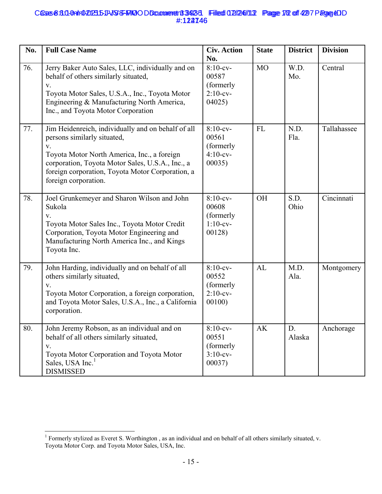## Cases 8:3.0-0nlr0202315-11-VSS-FMOODDcammerent 3423-31 Filed 02/246/11.2 Page 172 of 4297 Page &DD #:122746 **6558:310-0AIr0-20235-11-VSS-FRIQODDcomment 3423-3 Filed 02/24/113 Page 172 of 4297 Page 4D** #:124746

| No. | <b>Full Case Name</b>                                                                                                                                                                                                                                                  | <b>Civ. Action</b><br>No.                                  | <b>State</b> | <b>District</b> | <b>Division</b> |
|-----|------------------------------------------------------------------------------------------------------------------------------------------------------------------------------------------------------------------------------------------------------------------------|------------------------------------------------------------|--------------|-----------------|-----------------|
| 76. | Jerry Baker Auto Sales, LLC, individually and on<br>behalf of others similarly situated,<br>V.<br>Toyota Motor Sales, U.S.A., Inc., Toyota Motor<br>Engineering & Manufacturing North America,<br>Inc., and Toyota Motor Corporation                                   | $8:10$ -cv-<br>00587<br>(formerly<br>$2:10$ -cv-<br>04025  | <b>MO</b>    | W.D.<br>Mo.     | Central         |
| 77. | Jim Heidenreich, individually and on behalf of all<br>persons similarly situated,<br>V.<br>Toyota Motor North America, Inc., a foreign<br>corporation, Toyota Motor Sales, U.S.A., Inc., a<br>foreign corporation, Toyota Motor Corporation, a<br>foreign corporation. | $8:10$ -cv-<br>00561<br>(formerly<br>$4:10$ -cv-<br>00035) | <b>FL</b>    | N.D.<br>Fla.    | Tallahassee     |
| 78. | Joel Grunkemeyer and Sharon Wilson and John<br>Sukola<br>V.<br>Toyota Motor Sales Inc., Toyota Motor Credit<br>Corporation, Toyota Motor Engineering and<br>Manufacturing North America Inc., and Kings<br>Toyota Inc.                                                 | $8:10-cv-$<br>00608<br>(formerly<br>$1:10$ -cv-<br>00128   | <b>OH</b>    | S.D.<br>Ohio    | Cincinnati      |
| 79. | John Harding, individually and on behalf of all<br>others similarly situated,<br>V.<br>Toyota Motor Corporation, a foreign corporation,<br>and Toyota Motor Sales, U.S.A., Inc., a California<br>corporation.                                                          | $8:10$ -cv-<br>00552<br>(formerly<br>$2:10$ -cv-<br>00100  | AL           | M.D.<br>Ala.    | Montgomery      |
| 80. | John Jeremy Robson, as an individual and on<br>behalf of all others similarly situated,<br>V.<br>Toyota Motor Corporation and Toyota Motor<br>Sales, USA Inc. <sup>1</sup><br><b>DISMISSED</b>                                                                         | $8:10$ -cv-<br>00551<br>(formerly<br>$3:10-cv-$<br>00037)  | AK           | D.<br>Alaska    | Anchorage       |

 1 Formerly stylized as Everet S. Worthington , as an individual and on behalf of all others similarly situated, v. Toyota Motor Corp. and Toyota Motor Sales, USA, Inc.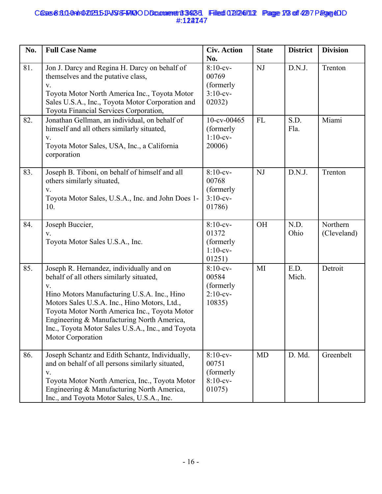## Cases 8:3.0-0nlr0202315-11-VSS-FMOODDcammerent 33423-1 Filed 02/246/11.2 Page 173 of 4297 Page &DD #:122747 **6558:30-0a1r0-20235-11-VSS-FRIQODDcomment 3423-3 Filed 02/24/11.2 Page 13 of 42 7 Page 40** #:124747

| No. | <b>Full Case Name</b>                                                                                                                                                                                                                                                                                                                                              | <b>Civ. Action</b><br>No.                                  | <b>State</b> | <b>District</b> | <b>Division</b>         |
|-----|--------------------------------------------------------------------------------------------------------------------------------------------------------------------------------------------------------------------------------------------------------------------------------------------------------------------------------------------------------------------|------------------------------------------------------------|--------------|-----------------|-------------------------|
| 81. | Jon J. Darcy and Regina H. Darcy on behalf of<br>themselves and the putative class,<br>V.<br>Toyota Motor North America Inc., Toyota Motor<br>Sales U.S.A., Inc., Toyota Motor Corporation and<br>Toyota Financial Services Corporation,                                                                                                                           | $8:10$ -cv-<br>00769<br>(formerly<br>$3:10$ -cv-<br>02032) | NJ           | D.N.J.          | Trenton                 |
| 82. | Jonathan Gellman, an individual, on behalf of<br>himself and all others similarly situated,<br>V.<br>Toyota Motor Sales, USA, Inc., a California<br>corporation                                                                                                                                                                                                    | 10-cv-00465<br>(formerly<br>$1:10$ -cv-<br>20006)          | <b>FL</b>    | S.D.<br>Fla.    | Miami                   |
| 83. | Joseph B. Tiboni, on behalf of himself and all<br>others similarly situated,<br>V.<br>Toyota Motor Sales, U.S.A., Inc. and John Does 1-<br>10.                                                                                                                                                                                                                     | $8:10$ -cv-<br>00768<br>(formerly<br>$3:10$ -cv-<br>01786) | <b>NJ</b>    | D.N.J.          | Trenton                 |
| 84. | Joseph Buccier,<br>V.<br>Toyota Motor Sales U.S.A., Inc.                                                                                                                                                                                                                                                                                                           | $8:10$ -cv-<br>01372<br>(formerly<br>$1:10$ -cv-<br>01251) | OH           | N.D.<br>Ohio    | Northern<br>(Cleveland) |
| 85. | Joseph R. Hernandez, individually and on<br>behalf of all others similarly situated,<br>V.<br>Hino Motors Manufacturing U.S.A. Inc., Hino<br>Motors Sales U.S.A. Inc., Hino Motors, Ltd.,<br>Toyota Motor North America Inc., Toyota Motor<br>Engineering & Manufacturing North America,<br>Inc., Toyota Motor Sales U.S.A., Inc., and Toyota<br>Motor Corporation | $8:10$ -cv-<br>00584<br>(formerly<br>$2:10$ -cv-<br>10835) | MI           | E.D.<br>Mich.   | Detroit                 |
| 86. | Joseph Schantz and Edith Schantz, Individually,<br>and on behalf of all persons similarly situated,<br>V.<br>Toyota Motor North America, Inc., Toyota Motor<br>Engineering & Manufacturing North America,<br>Inc., and Toyota Motor Sales, U.S.A., Inc.                                                                                                            | $8:10$ -cv-<br>00751<br>(formerly<br>$8:10$ -cv-<br>01075) | <b>MD</b>    | D. Md.          | Greenbelt               |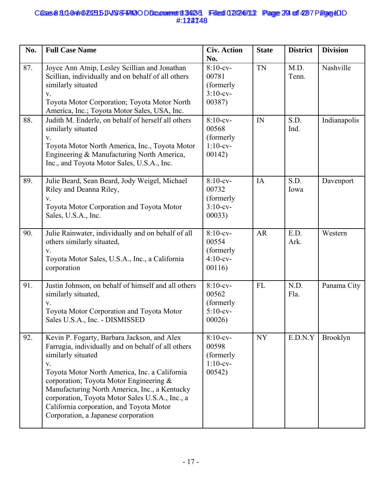## Cases 8:3.0-0nlr0202315-11-VSS-FMOODDcammeret 13-923-31 Filed 02/246/11.2 Page 279 of 4297 Page &DD #:122748 **6558:311-0ahr020235JVSS-FRIQODDcomment 39235 Filed 02/24/13 Page 20 of 42 7 Page 4D** #:124748

| No. | <b>Full Case Name</b>                                                                                                                                                                                                                                                                                                                                                                                            | <b>Civ. Action</b><br>No.                                  | <b>State</b> | <b>District</b> | <b>Division</b> |
|-----|------------------------------------------------------------------------------------------------------------------------------------------------------------------------------------------------------------------------------------------------------------------------------------------------------------------------------------------------------------------------------------------------------------------|------------------------------------------------------------|--------------|-----------------|-----------------|
| 87. | Joyce Ann Atnip, Lesley Scillian and Jonathan<br>Scillian, individually and on behalf of all others<br>similarly situated<br>V.<br>Toyota Motor Corporation; Toyota Motor North<br>America, Inc.; Toyota Motor Sales, USA, Inc.                                                                                                                                                                                  | $8:10$ -cv-<br>00781<br>(formerly<br>$3:10$ -cv-<br>00387) | <b>TN</b>    | M.D.<br>Tenn.   | Nashville       |
| 88. | Judith M. Enderle, on behalf of herself all others<br>similarly situated<br>V.<br>Toyota Motor North America, Inc., Toyota Motor<br>Engineering & Manufacturing North America,<br>Inc., and Toyota Motor Sales, U.S.A., Inc.                                                                                                                                                                                     | $8:10$ -cv-<br>00568<br>(formerly<br>$1:10$ -cv-<br>00142) | IN           | S.D.<br>Ind.    | Indianapolis    |
| 89. | Julie Beard, Sean Beard, Jody Weigel, Michael<br>Riley and Deanna Riley,<br>V.<br>Toyota Motor Corporation and Toyota Motor<br>Sales, U.S.A., Inc.                                                                                                                                                                                                                                                               | $8:10$ -cv-<br>00732<br>(formerly<br>$3:10$ -cv-<br>00033) | IA           | S.D.<br>Iowa    | Davenport       |
| 90. | Julie Rainwater, individually and on behalf of all<br>others similarly situated,<br>V.<br>Toyota Motor Sales, U.S.A., Inc., a California<br>corporation                                                                                                                                                                                                                                                          | $8:10$ -cv-<br>00554<br>(formerly<br>$4:10$ -cv-<br>00116  | AR           | E.D.<br>Ark.    | Western         |
| 91. | Justin Johnson, on behalf of himself and all others<br>similarly situated,<br>V.<br>Toyota Motor Corporation and Toyota Motor<br>Sales U.S.A., Inc. - DISMISSED                                                                                                                                                                                                                                                  | $8:10$ -cv-<br>00562<br>(formerly<br>$5:10$ -cv-<br>00026) | <b>FL</b>    | N.D.<br>Fla.    | Panama City     |
| 92. | Kevin P. Fogarty, Barbara Jackson, and Alex<br>Farrugia, individually and on behalf of all others<br>similarly situated<br>V.<br>Toyota Motor North America, Inc. a California<br>corporation; Toyota Motor Engineering &<br>Manufacturing North America, Inc., a Kentucky<br>corporation, Toyota Motor Sales U.S.A., Inc., a<br>California corporation, and Toyota Motor<br>Corporation, a Japanese corporation | $8:10$ -cv-<br>00598<br>(formerly<br>$1:10$ -cv-<br>00542) | <b>NY</b>    | E.D.N.Y         | <b>Brooklyn</b> |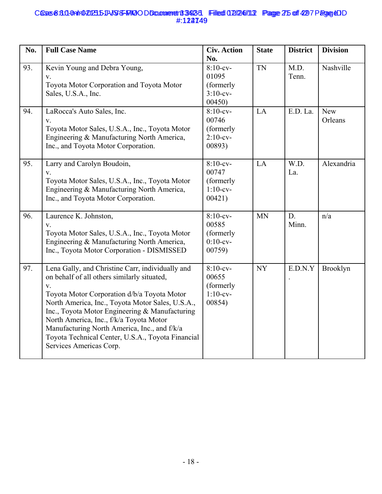## Cases 8:3.0-0nlr0202315-11-VSS-FMOODDcammeret 13-923-31 Filed 02/246/11.2 Page 275 of 4297 Page CDD #:122749 **6558:311-0a1r0-20235-11-VSS-FRIQODDcomment 3423-3 Filed 02/24/113 Page 25 of 42 7 Page 40** #:124749

| No. | <b>Full Case Name</b>                                                                                                                                                                                                                                                                                                                                                                                                                          | <b>Civ. Action</b>                                              | <b>State</b> | <b>District</b> | <b>Division</b>       |
|-----|------------------------------------------------------------------------------------------------------------------------------------------------------------------------------------------------------------------------------------------------------------------------------------------------------------------------------------------------------------------------------------------------------------------------------------------------|-----------------------------------------------------------------|--------------|-----------------|-----------------------|
| 93. | Kevin Young and Debra Young,<br>V.<br>Toyota Motor Corporation and Toyota Motor<br>Sales, U.S.A., Inc.                                                                                                                                                                                                                                                                                                                                         | No.<br>$8:10$ -cv-<br>01095<br>(formerly<br>$3:10-cv-$<br>00450 | <b>TN</b>    | M.D.<br>Tenn.   | Nashville             |
| 94. | LaRocca's Auto Sales, Inc.<br>V.<br>Toyota Motor Sales, U.S.A., Inc., Toyota Motor<br>Engineering & Manufacturing North America,<br>Inc., and Toyota Motor Corporation.                                                                                                                                                                                                                                                                        | $8:10$ -cv-<br>00746<br>(formerly<br>$2:10$ -cv-<br>00893)      | LA           | E.D. La.        | <b>New</b><br>Orleans |
| 95. | Larry and Carolyn Boudoin,<br>V.<br>Toyota Motor Sales, U.S.A., Inc., Toyota Motor<br>Engineering & Manufacturing North America,<br>Inc., and Toyota Motor Corporation.                                                                                                                                                                                                                                                                        | $8:10$ -cv-<br>00747<br>(formerly<br>$1:10$ -cv-<br>00421)      | LA           | W.D.<br>La.     | Alexandria            |
| 96. | Laurence K. Johnston,<br>V.<br>Toyota Motor Sales, U.S.A., Inc., Toyota Motor<br>Engineering & Manufacturing North America,<br>Inc., Toyota Motor Corporation - DISMISSED                                                                                                                                                                                                                                                                      | $8:10$ -cv-<br>00585<br>(formerly<br>$0:10$ -cv-<br>00759)      | <b>MN</b>    | D.<br>Minn.     | n/a                   |
| 97. | Lena Gally, and Christine Carr, individually and<br>on behalf of all others similarly situated,<br>$V_{\star}$<br>Toyota Motor Corporation d/b/a Toyota Motor<br>North America, Inc., Toyota Motor Sales, U.S.A.,<br>Inc., Toyota Motor Engineering & Manufacturing<br>North America, Inc., f/k/a Toyota Motor<br>Manufacturing North America, Inc., and f/k/a<br>Toyota Technical Center, U.S.A., Toyota Financial<br>Services Americas Corp. | $8:10-cv-$<br>00655<br>(formerly<br>$1:10-cv-$<br>00854)        | <b>NY</b>    | E.D.N.Y         | Brooklyn              |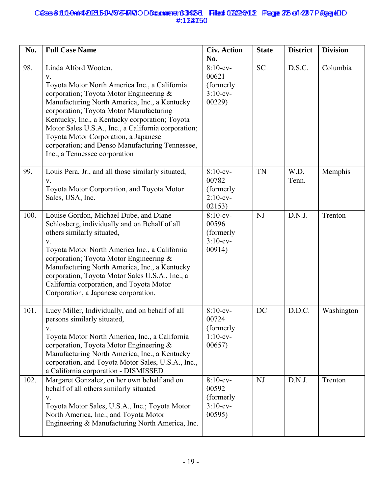## Cases 8:3.0-0nlr0202315-11-VSS-FMOODDcammeret 13-923-31 Filed 02/246/11.2 Page 275 of 4297 Page CDD #:122750 **6558:311-0ahr020235JVSS-FRIQODDcomment 39235 Filed 02/24/13 Page 26 of 42 7 Page 4D** #:124750

| No.  | <b>Full Case Name</b>                                                                                                                                                                                                                                                                                                                                                                                                                                   | <b>Civ. Action</b><br>No.                                  | <b>State</b> | <b>District</b> | <b>Division</b> |
|------|---------------------------------------------------------------------------------------------------------------------------------------------------------------------------------------------------------------------------------------------------------------------------------------------------------------------------------------------------------------------------------------------------------------------------------------------------------|------------------------------------------------------------|--------------|-----------------|-----------------|
| 98.  | Linda Alford Wooten,<br>V.<br>Toyota Motor North America Inc., a California<br>corporation; Toyota Motor Engineering &<br>Manufacturing North America, Inc., a Kentucky<br>corporation; Toyota Motor Manufacturing<br>Kentucky, Inc., a Kentucky corporation; Toyota<br>Motor Sales U.S.A., Inc., a California corporation;<br>Toyota Motor Corporation, a Japanese<br>corporation; and Denso Manufacturing Tennessee,<br>Inc., a Tennessee corporation | $8:10$ -cv-<br>00621<br>(formerly<br>$3:10$ -cv-<br>00229  | <b>SC</b>    | D.S.C.          | Columbia        |
| 99.  | Louis Pera, Jr., and all those similarly situated,<br>V.<br>Toyota Motor Corporation, and Toyota Motor<br>Sales, USA, Inc.                                                                                                                                                                                                                                                                                                                              | $8:10$ -cv-<br>00782<br>(formerly<br>$2:10$ -cv-<br>02153) | <b>TN</b>    | W.D.<br>Tenn.   | Memphis         |
| 100. | Louise Gordon, Michael Dube, and Diane<br>Schlosberg, individually and on Behalf of all<br>others similarly situated,<br>V.<br>Toyota Motor North America Inc., a California<br>corporation; Toyota Motor Engineering &<br>Manufacturing North America, Inc., a Kentucky<br>corporation, Toyota Motor Sales U.S.A., Inc., a<br>California corporation, and Toyota Motor<br>Corporation, a Japanese corporation.                                         | $8:10$ -cv-<br>00596<br>(formerly<br>$3:10$ -cv-<br>00914) | <b>NJ</b>    | D.N.J.          | Trenton         |
| 101. | Lucy Miller, Individually, and on behalf of all<br>persons similarly situated,<br>V.<br>Toyota Motor North America, Inc., a California<br>corporation, Toyota Motor Engineering &<br>Manufacturing North America, Inc., a Kentucky<br>corporation, and Toyota Motor Sales, U.S.A., Inc.,<br>a California corporation - DISMISSED                                                                                                                        | $8:10$ -cv-<br>00724<br>(formerly<br>$1:10-cv-$<br>00657   | <b>DC</b>    | D.D.C.          | Washington      |
| 102. | Margaret Gonzalez, on her own behalf and on<br>behalf of all others similarly situated<br>V.<br>Toyota Motor Sales, U.S.A., Inc.; Toyota Motor<br>North America, Inc.; and Toyota Motor<br>Engineering & Manufacturing North America, Inc.                                                                                                                                                                                                              | $8:10$ -cv-<br>00592<br>(formerly<br>$3:10$ -cv-<br>00595) | NJ           | D.N.J.          | Trenton         |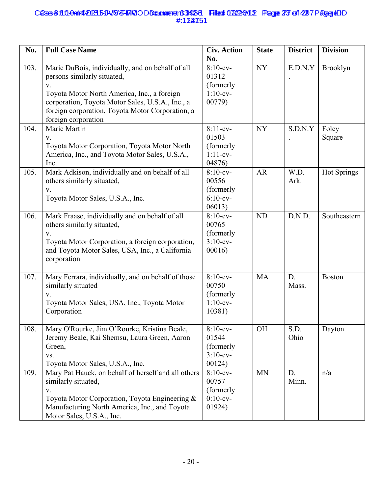## Cases 8:3.0-0nlr0202315-11-VSS-FMOODDcammeret 13-923-31 Filed 02/246/11.2 Page 273 of 4297 Page CDD #:122751 **6558:311-0alt1020235-11-VSS-FAKO O Document 3342-3 Filed 02/24/113 Page 23 of 42 7 Page 40** #:124751

| No.  | <b>Full Case Name</b>                                                                                                                                                                                                                                                        | <b>Civ. Action</b><br>No.                                  | <b>State</b> | <b>District</b> | <b>Division</b>    |
|------|------------------------------------------------------------------------------------------------------------------------------------------------------------------------------------------------------------------------------------------------------------------------------|------------------------------------------------------------|--------------|-----------------|--------------------|
| 103. | Marie DuBois, individually, and on behalf of all<br>persons similarly situated,<br>$V_{\star}$<br>Toyota Motor North America, Inc., a foreign<br>corporation, Toyota Motor Sales, U.S.A., Inc., a<br>foreign corporation, Toyota Motor Corporation, a<br>foreign corporation | $8:10$ -cv-<br>01312<br>(formerly<br>$1:10$ -cv-<br>00779) | <b>NY</b>    | E.D.N.Y         | Brooklyn           |
| 104. | Marie Martin<br>V.<br>Toyota Motor Corporation, Toyota Motor North<br>America, Inc., and Toyota Motor Sales, U.S.A.,<br>Inc.                                                                                                                                                 | $8:11-cv-$<br>01503<br>(formerly<br>$1:11-cv-$<br>04876)   | <b>NY</b>    | S.D.N.Y         | Foley<br>Square    |
| 105. | Mark Adkison, individually and on behalf of all<br>others similarly situated,<br>V.<br>Toyota Motor Sales, U.S.A., Inc.                                                                                                                                                      | $8:10$ -cv-<br>00556<br>(formerly<br>$6:10-cv-$<br>06013)  | <b>AR</b>    | W.D.<br>Ark.    | <b>Hot Springs</b> |
| 106. | Mark Fraase, individually and on behalf of all<br>others similarly situated,<br>V.<br>Toyota Motor Corporation, a foreign corporation,<br>and Toyota Motor Sales, USA, Inc., a California<br>corporation                                                                     | $8:10$ -cv-<br>00765<br>(formerly<br>$3:10$ -cv-<br>00016  | <b>ND</b>    | D.N.D.          | Southeastern       |
| 107. | Mary Ferrara, individually, and on behalf of those<br>similarly situated<br>V.<br>Toyota Motor Sales, USA, Inc., Toyota Motor<br>Corporation                                                                                                                                 | $8:10$ -cv-<br>00750<br>(formerly<br>$1:10$ -cv-<br>10381) | <b>MA</b>    | D.<br>Mass.     | <b>Boston</b>      |
| 108. | Mary O'Rourke, Jim O'Rourke, Kristina Beale,<br>Jeremy Beale, Kai Shemsu, Laura Green, Aaron<br>Green,<br>VS.<br>Toyota Motor Sales, U.S.A., Inc.                                                                                                                            | $8:10$ -cv-<br>01544<br>(formerly<br>$3:10$ -cv-<br>00124) | OH           | S.D.<br>Ohio    | Dayton             |
| 109. | Mary Pat Hauck, on behalf of herself and all others<br>similarly situated,<br>V.<br>Toyota Motor Corporation, Toyota Engineering &<br>Manufacturing North America, Inc., and Toyota<br>Motor Sales, U.S.A., Inc.                                                             | $8:10$ -cv-<br>00757<br>(formerly<br>$0:10$ -cv-<br>01924) | <b>MN</b>    | D.<br>Minn.     | n/a                |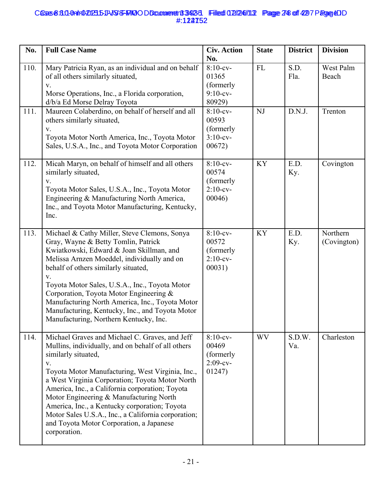# Cases 8:3.0-0nlr0202315-11-VSS-FMOODDcammeret 13-923-31 Filed 02/246/11.2 Page 748 of 4297 Page CDD #:122752 **6558:311-0air020235JVSS-FMO ODCumment 39235 Filed 02/24/13 Page 24 of 427 Page 4D** #:124752

| No.  | <b>Full Case Name</b>                                                                                                                                                                                                                                                                                                                                                                                                                                                                                      | <b>Civ. Action</b><br>No.                                  | <b>State</b> | <b>District</b> | <b>Division</b>         |
|------|------------------------------------------------------------------------------------------------------------------------------------------------------------------------------------------------------------------------------------------------------------------------------------------------------------------------------------------------------------------------------------------------------------------------------------------------------------------------------------------------------------|------------------------------------------------------------|--------------|-----------------|-------------------------|
| 110. | Mary Patricia Ryan, as an individual and on behalf<br>of all others similarly situated,<br>V.<br>Morse Operations, Inc., a Florida corporation,<br>d/b/a Ed Morse Delray Toyota                                                                                                                                                                                                                                                                                                                            | $8:10$ -cv-<br>01365<br>(formerly<br>$9:10$ -cv-<br>80929) | <b>FL</b>    | S.D.<br>Fla.    | West Palm<br>Beach      |
| 111. | Maureen Colaberdino, on behalf of herself and all<br>others similarly situated,<br>V.<br>Toyota Motor North America, Inc., Toyota Motor<br>Sales, U.S.A., Inc., and Toyota Motor Corporation                                                                                                                                                                                                                                                                                                               | $8:10$ -cv-<br>00593<br>(formerly<br>$3:10$ -cv-<br>00672) | NJ           | D.N.J.          | Trenton                 |
| 112. | Micah Maryn, on behalf of himself and all others<br>similarly situated,<br>V.<br>Toyota Motor Sales, U.S.A., Inc., Toyota Motor<br>Engineering & Manufacturing North America,<br>Inc., and Toyota Motor Manufacturing, Kentucky,<br>Inc.                                                                                                                                                                                                                                                                   | $8:10$ -cv-<br>00574<br>(formerly<br>$2:10$ -cv-<br>00046) | <b>KY</b>    | E.D.<br>Ky.     | Covington               |
| 113. | Michael & Cathy Miller, Steve Clemons, Sonya<br>Gray, Wayne & Betty Tomlin, Patrick<br>Kwiatkowski, Edward & Joan Skillman, and<br>Melissa Arnzen Moeddel, individually and on<br>behalf of others similarly situated,<br>V.<br>Toyota Motor Sales, U.S.A., Inc., Toyota Motor<br>Corporation, Toyota Motor Engineering &<br>Manufacturing North America, Inc., Toyota Motor<br>Manufacturing, Kentucky, Inc., and Toyota Motor<br>Manufacturing, Northern Kentucky, Inc.                                  | $8:10$ -cv-<br>00572<br>(formerly<br>$2:10$ -cv-<br>00031) | <b>KY</b>    | E.D.<br>Ky.     | Northern<br>(Covington) |
| 114. | Michael Graves and Michael C. Graves, and Jeff<br>Mullins, individually, and on behalf of all others<br>similarly situated,<br>V.<br>Toyota Motor Manufacturing, West Virginia, Inc.,<br>a West Virginia Corporation; Toyota Motor North<br>America, Inc., a California corporation; Toyota<br>Motor Engineering & Manufacturing North<br>America, Inc., a Kentucky corporation; Toyota<br>Motor Sales U.S.A., Inc., a California corporation;<br>and Toyota Motor Corporation, a Japanese<br>corporation. | $8:10$ -cv-<br>00469<br>(formerly<br>$2:09-cv-$<br>01247)  | <b>WV</b>    | S.D.W.<br>Va.   | Charleston              |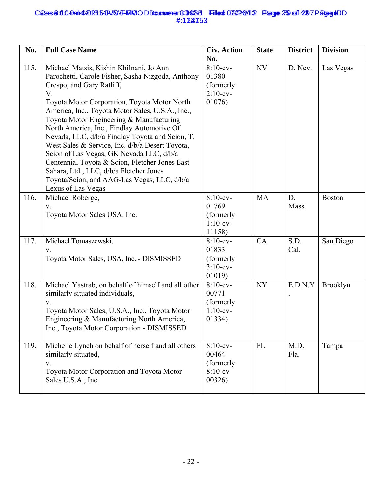## Cases 8:3.0-0nlr0202315-11-VSS-FMOODDcammerent 33423-1 Filed 02/246/11.2 Page 279 of 4297 Page &DD #:122753 **6558:311-0ahr020235JVSS-FRIQODDcomment 39235 Filed 02/24/13 Page 25 of 42 7 Page 4D** #:124753

| No.  | <b>Full Case Name</b>                                                                                                                                                                                                                                                                                                                                                                                                                                                                                                                                                                                                                             | <b>Civ. Action</b><br>No.                                  | <b>State</b> | <b>District</b> | <b>Division</b> |
|------|---------------------------------------------------------------------------------------------------------------------------------------------------------------------------------------------------------------------------------------------------------------------------------------------------------------------------------------------------------------------------------------------------------------------------------------------------------------------------------------------------------------------------------------------------------------------------------------------------------------------------------------------------|------------------------------------------------------------|--------------|-----------------|-----------------|
| 115. | Michael Matsis, Kishin Khilnani, Jo Ann<br>Parochetti, Carole Fisher, Sasha Nizgoda, Anthony<br>Crespo, and Gary Ratliff,<br>V.<br>Toyota Motor Corporation, Toyota Motor North<br>America, Inc., Toyota Motor Sales, U.S.A., Inc.,<br>Toyota Motor Engineering & Manufacturing<br>North America, Inc., Findlay Automotive Of<br>Nevada, LLC, d/b/a Findlay Toyota and Scion, T.<br>West Sales & Service, Inc. d/b/a Desert Toyota,<br>Scion of Las Vegas, GK Nevada LLC, d/b/a<br>Centennial Toyota & Scion, Fletcher Jones East<br>Sahara, Ltd., LLC, d/b/a Fletcher Jones<br>Toyota/Scion, and AAG-Las Vegas, LLC, d/b/a<br>Lexus of Las Vegas | $8:10$ -cv-<br>01380<br>(formerly<br>$2:10$ -cv-<br>01076) | NV           | D. Nev.         | Las Vegas       |
| 116. | Michael Roberge,<br>V.<br>Toyota Motor Sales USA, Inc.                                                                                                                                                                                                                                                                                                                                                                                                                                                                                                                                                                                            | $8:10$ -cv-<br>01769<br>(formerly<br>$1:10$ -cv-<br>11158) | <b>MA</b>    | D.<br>Mass.     | <b>Boston</b>   |
| 117. | Michael Tomaszewski,<br>V.<br>Toyota Motor Sales, USA, Inc. - DISMISSED                                                                                                                                                                                                                                                                                                                                                                                                                                                                                                                                                                           | $8:10$ -cv-<br>01833<br>(formerly<br>$3:10$ -cv-<br>01019) | CA           | S.D.<br>Cal.    | San Diego       |
| 118. | Michael Yastrab, on behalf of himself and all other<br>similarly situated individuals,<br>V.<br>Toyota Motor Sales, U.S.A., Inc., Toyota Motor<br>Engineering & Manufacturing North America,<br>Inc., Toyota Motor Corporation - DISMISSED                                                                                                                                                                                                                                                                                                                                                                                                        | $8:10$ -cv-<br>00771<br>(formerly<br>$1:10$ -cv-<br>01334) | <b>NY</b>    | E.D.N.Y         | Brooklyn        |
| 119. | Michelle Lynch on behalf of herself and all others<br>similarly situated,<br>V.<br>Toyota Motor Corporation and Toyota Motor<br>Sales U.S.A., Inc.                                                                                                                                                                                                                                                                                                                                                                                                                                                                                                | $8:10$ -cv-<br>00464<br>(formerly<br>$8:10$ -cv-<br>00326) | <b>FL</b>    | M.D.<br>Fla.    | Tampa           |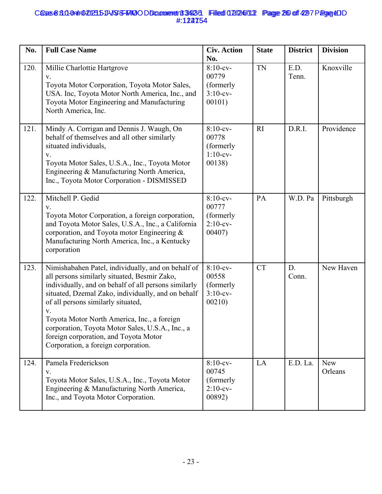## Cases 8:3.0-0nlr0202315-J1-JSS-FMOODDcammeret183423-1 Filed 02/246/11.2 Page 260 off 4297 Page & DD #:122754 **6558:30-0a1r0-20235-11-VSS-FRIQODDcomment 3423-3 Filed 02/24/113 Page 26 of 42 7 Page 40** #:124754

| No.  | <b>Full Case Name</b>                                                                                                                                                                                                                                                                                                                                                                                                                           | <b>Civ. Action</b><br>No.                                  | <b>State</b> | <b>District</b> | <b>Division</b>       |
|------|-------------------------------------------------------------------------------------------------------------------------------------------------------------------------------------------------------------------------------------------------------------------------------------------------------------------------------------------------------------------------------------------------------------------------------------------------|------------------------------------------------------------|--------------|-----------------|-----------------------|
| 120. | Millie Charlottie Hartgrove<br>V.<br>Toyota Motor Corporation, Toyota Motor Sales,<br>USA. Inc, Toyota Motor North America, Inc., and<br>Toyota Motor Engineering and Manufacturing<br>North America, Inc.                                                                                                                                                                                                                                      | $8:10$ -cv-<br>00779<br>(formerly<br>$3:10$ -cv-<br>00101) | <b>TN</b>    | E.D.<br>Tenn.   | Knoxville             |
| 121. | Mindy A. Corrigan and Dennis J. Waugh, On<br>behalf of themselves and all other similarly<br>situated individuals,<br>${\bf V}.$<br>Toyota Motor Sales, U.S.A., Inc., Toyota Motor<br>Engineering & Manufacturing North America,<br>Inc., Toyota Motor Corporation - DISMISSED                                                                                                                                                                  | $8:10$ -cv-<br>00778<br>(formerly<br>$1:10$ -cv-<br>00138) | R1           | D.R.I.          | Providence            |
| 122. | Mitchell P. Gedid<br>V.<br>Toyota Motor Corporation, a foreign corporation,<br>and Toyota Motor Sales, U.S.A., Inc., a California<br>corporation, and Toyota motor Engineering $\&$<br>Manufacturing North America, Inc., a Kentucky<br>corporation                                                                                                                                                                                             | $8:10$ -cv-<br>00777<br>(formerly<br>$2:10$ -cv-<br>00407) | PA           | W.D. Pa         | Pittsburgh            |
| 123. | Nimishabahen Patel, individually, and on behalf of<br>all persons similarly situated, Besmir Zako,<br>individually, and on behalf of all persons similarly<br>situated, Dzemal Zako, individually, and on behalf<br>of all persons similarly situated,<br>V.<br>Toyota Motor North America, Inc., a foreign<br>corporation, Toyota Motor Sales, U.S.A., Inc., a<br>foreign corporation, and Toyota Motor<br>Corporation, a foreign corporation. | $8:10$ -cv-<br>00558<br>(formerly)<br>$3:10$ -cv-<br>00210 | <b>CT</b>    | D.<br>Conn.     | New Haven             |
| 124. | Pamela Frederickson<br>V.<br>Toyota Motor Sales, U.S.A., Inc., Toyota Motor<br>Engineering & Manufacturing North America,<br>Inc., and Toyota Motor Corporation.                                                                                                                                                                                                                                                                                | $8:10$ -cv-<br>00745<br>(formerly<br>$2:10$ -cv-<br>00892) | LA           | E.D. La.        | <b>New</b><br>Orleans |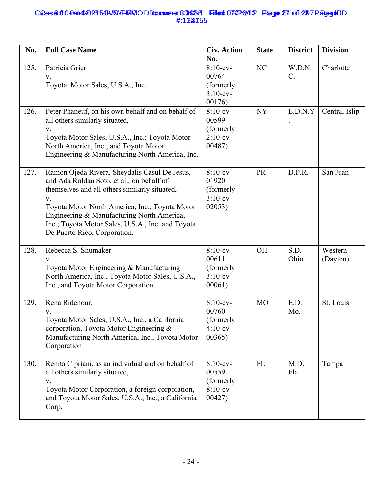## Cases 8:3.0-0nlr0202315-11-VSS-FMOODDcammeret183423-1 Filed 02/246/11.2 Page 231 of 4297 Page &DD #:122755 **6558:311-0ahr020235JVSS-FMO ODCuonneret 33423 Filed 02/24/13 Page 21 of 427 Page 4D** #:124755

| No.  | <b>Full Case Name</b>                                                                                                                                                                                                                                                                                                                  | <b>Civ. Action</b><br>No.                                  | <b>State</b> | <b>District</b>           | <b>Division</b>     |
|------|----------------------------------------------------------------------------------------------------------------------------------------------------------------------------------------------------------------------------------------------------------------------------------------------------------------------------------------|------------------------------------------------------------|--------------|---------------------------|---------------------|
| 125. | Patricia Grier<br>V.<br>Toyota Motor Sales, U.S.A., Inc.                                                                                                                                                                                                                                                                               | $8:10$ -cv-<br>00764<br>(formerly<br>$3:10$ -cv-<br>00176) | NC           | W.D.N.<br>$\mathcal{C}$ . | Charlotte           |
| 126. | Peter Phaneuf, on his own behalf and on behalf of<br>all others similarly situated,<br>V.<br>Toyota Motor Sales, U.S.A., Inc.; Toyota Motor<br>North America, Inc.; and Toyota Motor<br>Engineering & Manufacturing North America, Inc.                                                                                                | $8:10$ -cv-<br>00599<br>(formerly<br>$2:10$ -cv-<br>00487) | <b>NY</b>    | E.D.N.Y                   | Central Islip       |
| 127. | Ramon Ojeda Rivera, Sheydalis Casul De Jesus,<br>and Ada Roldan Soto, et al., on behalf of<br>themselves and all others similarly situated,<br>V.<br>Toyota Motor North America, Inc.; Toyota Motor<br>Engineering & Manufacturing North America,<br>Inc.; Toyota Motor Sales, U.S.A., Inc. and Toyota<br>De Puerto Rico, Corporation. | $8:10$ -cv-<br>01920<br>(formerly<br>$3:10$ -cv-<br>02053) | PR           | D.P.R.                    | San Juan            |
| 128. | Rebecca S. Shumaker<br>V.<br>Toyota Motor Engineering & Manufacturing<br>North America, Inc., Toyota Motor Sales, U.S.A.,<br>Inc., and Toyota Motor Corporation                                                                                                                                                                        | $8:10$ -cv-<br>00611<br>(formerly<br>$3:10$ -cv-<br>00061) | OH           | S.D.<br>Ohio              | Western<br>(Dayton) |
| 129. | Rena Ridenour,<br>V.<br>Toyota Motor Sales, U.S.A., Inc., a California<br>corporation, Toyota Motor Engineering &<br>Manufacturing North America, Inc., Toyota Motor<br>Corporation                                                                                                                                                    | $8:10$ -cv-<br>00760<br>(formerly<br>$4:10$ -cv-<br>00365) | <b>MO</b>    | E.D.<br>Mo.               | St. Louis           |
| 130. | Renita Cipriani, as an individual and on behalf of<br>all others similarly situated,<br>V.<br>Toyota Motor Corporation, a foreign corporation,<br>and Toyota Motor Sales, U.S.A., Inc., a California<br>Corp.                                                                                                                          | $8:10$ -cv-<br>00559<br>(formerly<br>$8:10$ -cv-<br>00427) | <b>FL</b>    | M.D.<br>Fla.              | Tampa               |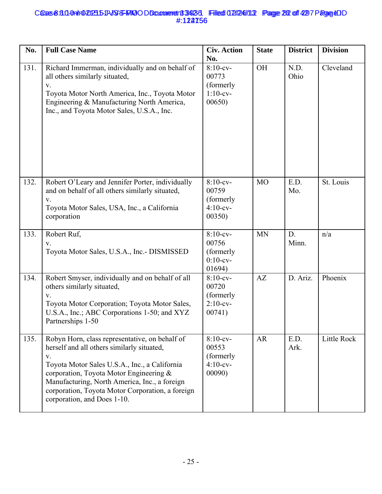## Cases 8:3.0-0nlr0202315-11-VSS-FMOODDcomment 33423-1 Filed 02/246/11.2 Page 282 of 4297 Page &DD #:122756 **6558:30-0a1r0-20235-11-VSS-FRIQODDcomment 3423-3 Filed 02/24/11.3 Page 232 of 4297 Page 4D** #:124756

| No.  | <b>Full Case Name</b>                                                                                                                                                                                                                                                                                                              | <b>Civ. Action</b><br>No.                                  | <b>State</b> | <b>District</b> | <b>Division</b> |
|------|------------------------------------------------------------------------------------------------------------------------------------------------------------------------------------------------------------------------------------------------------------------------------------------------------------------------------------|------------------------------------------------------------|--------------|-----------------|-----------------|
| 131. | Richard Immerman, individually and on behalf of<br>all others similarly situated,<br>V.<br>Toyota Motor North America, Inc., Toyota Motor<br>Engineering & Manufacturing North America,<br>Inc., and Toyota Motor Sales, U.S.A., Inc.                                                                                              | $8:10$ -cv-<br>00773<br>(formerly)<br>$1:10$ -cv-<br>00650 | OH           | N.D.<br>Ohio    | Cleveland       |
| 132. | Robert O'Leary and Jennifer Porter, individually<br>and on behalf of all others similarly situated,<br>V.<br>Toyota Motor Sales, USA, Inc., a California<br>corporation                                                                                                                                                            | $8:10$ -cv-<br>00759<br>(formerly<br>$4:10$ -cv-<br>00350  | <b>MO</b>    | E.D.<br>Mo.     | St. Louis       |
| 133. | Robert Ruf,<br>V.<br>Toyota Motor Sales, U.S.A., Inc.- DISMISSED                                                                                                                                                                                                                                                                   | $8:10$ -cv-<br>00756<br>(formerly<br>$0:10$ -cv-<br>01694) | <b>MN</b>    | D.<br>Minn.     | n/a             |
| 134. | Robert Smyser, individually and on behalf of all<br>others similarly situated,<br>V.<br>Toyota Motor Corporation; Toyota Motor Sales,<br>U.S.A., Inc.; ABC Corporations 1-50; and XYZ<br>Partnerships 1-50                                                                                                                         | $8:10$ -cv-<br>00720<br>(formerly<br>$2:10$ -cv-<br>00741) | AZ           | D. Ariz.        | Phoenix         |
| 135. | Robyn Horn, class representative, on behalf of<br>herself and all others similarly situated,<br>V.<br>Toyota Motor Sales U.S.A., Inc., a California<br>corporation, Toyota Motor Engineering &<br>Manufacturing, North America, Inc., a foreign<br>corporation, Toyota Motor Corporation, a foreign<br>corporation, and Does 1-10. | $8:10$ -cv-<br>00553<br>(formerly<br>$4:10$ -cv-<br>00090) | AR           | E.D.<br>Ark.    | Little Rock     |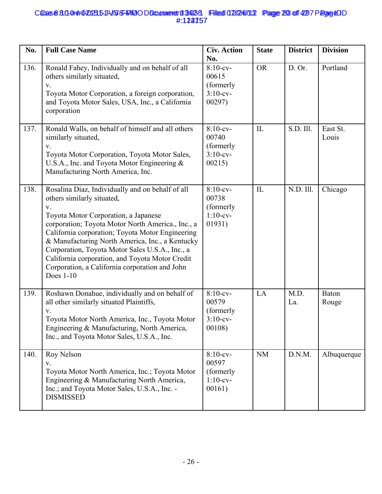## Cases 8:3.0-0nlr0202315-11-VSS-FMOODDcammeret 13-923-31 Filed 02/246/11.2 Page 293 of 4297 Page &DD #:122757 **6558:30-0a1r0-20235-11-VSS-FRIQODDcomment 3423-3 Filed 02/24/11.2 Page 29 of 42 7 Page 4D** #:124757

| No.  | <b>Full Case Name</b>                                                                                                                                                                                                                                                                                                                                                                                                                                         | <b>Civ. Action</b><br>No.                                  | <b>State</b> | <b>District</b> | <b>Division</b>       |
|------|---------------------------------------------------------------------------------------------------------------------------------------------------------------------------------------------------------------------------------------------------------------------------------------------------------------------------------------------------------------------------------------------------------------------------------------------------------------|------------------------------------------------------------|--------------|-----------------|-----------------------|
| 136. | Ronald Fahey, Individually and on behalf of all<br>others similarly situated,<br>V.<br>Toyota Motor Corporation, a foreign corporation,<br>and Toyota Motor Sales, USA, Inc., a California<br>corporation                                                                                                                                                                                                                                                     | $8:10$ -cv-<br>00615<br>(formerly<br>$3:10$ -cv-<br>00297) | <b>OR</b>    | D. Or.          | Portland              |
| 137. | Ronald Walls, on behalf of himself and all others<br>similarly situated,<br>V.<br>Toyota Motor Corporation, Toyota Motor Sales,<br>U.S.A., Inc. and Toyota Motor Engineering &<br>Manufacturing North America, Inc.                                                                                                                                                                                                                                           | $8:10$ -cv-<br>00740<br>(formerly<br>$3:10$ -cv-<br>00215) | IL           | S.D. Ill.       | East St.<br>Louis     |
| 138. | Rosalina Diaz, Individually and on behalf of all<br>others similarly situated,<br>V.<br>Toyota Motor Corporation, a Japanese<br>corporation; Toyota Motor North America., Inc., a<br>California corporation; Toyota Motor Engineering<br>& Manufacturing North America, Inc., a Kentucky<br>Corporation, Toyota Motor Sales U.S.A., Inc., a<br>California corporation, and Toyota Motor Credit<br>Corporation, a California corporation and John<br>Does 1-10 | $8:10$ -cv-<br>00738<br>(formerly<br>$1:10$ -cv-<br>01931) | IL           | N.D. Ill.       | Chicago               |
| 139. | Roshawn Donahue, individually and on behalf of<br>all other similarly situated Plaintiffs,<br>V.<br>Toyota Motor North America, Inc., Toyota Motor<br>Engineering & Manufacturing, North America,<br>Inc., and Toyota Motor Sales, U.S.A., Inc.                                                                                                                                                                                                               | $8:10$ -cv-<br>00579<br>(formerly<br>$3:10$ -cv-<br>00108  | LA           | M.D.<br>La.     | <b>Baton</b><br>Rouge |
| 140. | Roy Nelson<br>V.<br>Toyota Motor North America, Inc.; Toyota Motor<br>Engineering & Manufacturing North America,<br>Inc.; and Toyota Motor Sales, U.S.A., Inc. -<br><b>DISMISSED</b>                                                                                                                                                                                                                                                                          | $8:10$ -cv-<br>00597<br>(formerly<br>$1:10$ -cv-<br>00161) | <b>NM</b>    | D.N.M.          | Albuquerque           |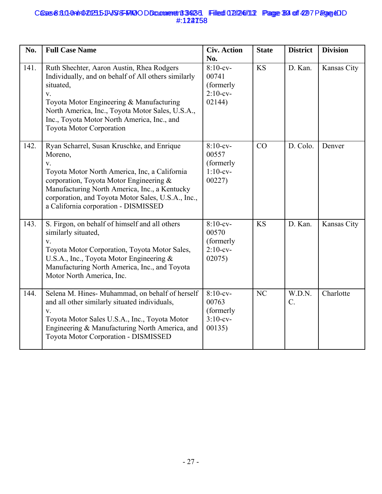## Cases 8:3.0-0nlr0202315-J1-JSS-FMOODDcammeret 13-923-31 Filed 02/246/11.2 Page 384 of 4297 Page CDD #:122758 **6558:30-09 PD 20235-DD 35-FMO OD Document 3425 Filed 07/24/13 Page 34 of 427 Page 40** #:124758

| No.  | <b>Full Case Name</b>                                                                                                                                                                                                                                                                                             | <b>Civ. Action</b><br>No.                                  | <b>State</b> | <b>District</b> | <b>Division</b> |
|------|-------------------------------------------------------------------------------------------------------------------------------------------------------------------------------------------------------------------------------------------------------------------------------------------------------------------|------------------------------------------------------------|--------------|-----------------|-----------------|
| 141. | Ruth Shechter, Aaron Austin, Rhea Rodgers<br>Individually, and on behalf of All others similarly<br>situated,<br>V.<br>Toyota Motor Engineering & Manufacturing<br>North America, Inc., Toyota Motor Sales, U.S.A.,<br>Inc., Toyota Motor North America, Inc., and<br><b>Toyota Motor Corporation</b>             | $8:10$ -cv-<br>00741<br>(formerly<br>$2:10$ -cv-<br>02144) | <b>KS</b>    | D. Kan.         | Kansas City     |
| 142. | Ryan Scharrel, Susan Kruschke, and Enrique<br>Moreno,<br>$\mathbf{V}.$<br>Toyota Motor North America, Inc, a California<br>corporation, Toyota Motor Engineering &<br>Manufacturing North America, Inc., a Kentucky<br>corporation, and Toyota Motor Sales, U.S.A., Inc.,<br>a California corporation - DISMISSED | $8:10$ -cv-<br>00557<br>(formerly<br>$1:10$ -cv-<br>00227  | CO           | D. Colo.        | Denver          |
| 143. | S. Firgon, on behalf of himself and all others<br>similarly situated,<br>V.<br>Toyota Motor Corporation, Toyota Motor Sales,<br>U.S.A., Inc., Toyota Motor Engineering &<br>Manufacturing North America, Inc., and Toyota<br>Motor North America, Inc.                                                            | $8:10$ -cv-<br>00570<br>(formerly<br>$2:10$ -cv-<br>02075) | <b>KS</b>    | D. Kan.         | Kansas City     |
| 144. | Selena M. Hines- Muhammad, on behalf of herself<br>and all other similarly situated individuals,<br>$V_{\star}$<br>Toyota Motor Sales U.S.A., Inc., Toyota Motor<br>Engineering & Manufacturing North America, and<br>Toyota Motor Corporation - DISMISSED                                                        | $8:10$ -cv-<br>00763<br>(formerly<br>$3:10-cv-$<br>00135)  | NC           | W.D.N.<br>$C$ . | Charlotte       |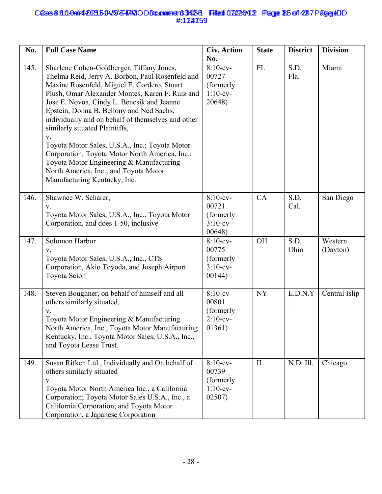## Cases 8:3.0-0nlr0202315-11-VSS-FMOODDcammeret183423-1 Filed 02/246/11.2 Page 815 of 4297 Page & DD #:122759 **6558:30-0a1r0-20235-11-VSS-FRIQODDcomment 3423-3 Filed 02/24/11.3 Page 315 of 4297 Page 4D** #:124759

| No.  | <b>Full Case Name</b>                                                                                                                                                                                                                                                                                                                                                                                                                                                                                                                                                                                            | <b>Civ. Action</b><br>No.                                  | <b>State</b> | <b>District</b> | <b>Division</b>     |
|------|------------------------------------------------------------------------------------------------------------------------------------------------------------------------------------------------------------------------------------------------------------------------------------------------------------------------------------------------------------------------------------------------------------------------------------------------------------------------------------------------------------------------------------------------------------------------------------------------------------------|------------------------------------------------------------|--------------|-----------------|---------------------|
| 145. | Sharlene Cohen-Goldberger, Tiffany Jones,<br>Thelma Reid, Jerry A. Borbon, Paul Rosenfeld and<br>Maxine Rosenfeld, Miguel E. Cordero, Stuart<br>Plush, Omar Alexander Montes, Karen F. Ruiz and<br>Jose E. Novoa, Cindy L. Bencsik and Jeanne<br>Epstein, Donna B. Bellony and Ned Sachs,<br>individually and on behalf of themselves and other<br>similarly situated Plaintiffs,<br>V.<br>Toyota Motor Sales, U.S.A., Inc.; Toyota Motor<br>Corporation; Toyota Motor North America, Inc.;<br>Toyota Motor Engineering & Manufacturing<br>North America, Inc.; and Toyota Motor<br>Manufacturing Kentucky, Inc. | $8:10-cv-$<br>00727<br>(formerly<br>$1:10$ -cv-<br>20648)  | FL           | S.D.<br>Fla.    | Miami               |
| 146. | Shawnee W. Scharer,<br>V.<br>Toyota Motor Sales, U.S.A., Inc., Toyota Motor<br>Corporation, and does 1-50, inclusive                                                                                                                                                                                                                                                                                                                                                                                                                                                                                             | $8:10$ -cv-<br>00721<br>(formerly<br>$3:10$ -cv-<br>00648  | CA           | S.D.<br>Cal.    | San Diego           |
| 147. | Solomon Harbor<br>V.<br>Toyota Motor Sales, U.S.A., Inc., CTS<br>Corporation, Akio Toyoda, and Joseph Airport<br>Toyota Scion                                                                                                                                                                                                                                                                                                                                                                                                                                                                                    | $8:10$ -cv-<br>00775<br>(formerly<br>$3:10-cv-$<br>00144)  | <b>OH</b>    | S.D.<br>Ohio    | Western<br>(Dayton) |
| 148. | Steven Boughner, on behalf of himself and all<br>others similarly situated,<br>V.<br>Toyota Motor Engineering & Manufacturing<br>North America, Inc., Toyota Motor Manufacturing<br>Kentucky, Inc., Toyota Motor Sales, U.S.A., Inc.,<br>and Toyota Lease Trust.                                                                                                                                                                                                                                                                                                                                                 | $8:10$ -cv-<br>00801<br>(formerly<br>$2:10$ -cv-<br>01361) | <b>NY</b>    | E.D.N.Y         | Central Islip       |
| 149. | Susan Rifken Ltd., Individually and On behalf of<br>others similarly situated<br>V.<br>Toyota Motor North America Inc., a California<br>Corporation; Toyota Motor Sales U.S.A., Inc., a<br>California Corporation; and Toyota Motor<br>Corporation, a Japanese Corporation                                                                                                                                                                                                                                                                                                                                       | $8:10$ -cv-<br>00739<br>(formerly<br>$1:10$ -cv-<br>02507) | IL           | N.D. Ill.       | Chicago             |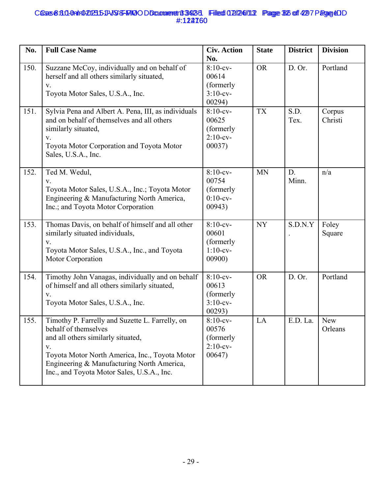## Cases 8:3.0-0nlr0202315-11-VSS-FMOODDcammeret183423-1 Filed 02/246/11.2 Page 825 of 4297 Page & DD #:122760 **6558:30-0a1r0-20235-11-VSS-FRIQODDcomment 3423-3 Filed 02/24/11.3 Page 326 of 4297 Page 4D** #:124760

| No.  | <b>Full Case Name</b>                                                                                                                                                                                                                                             | <b>Civ. Action</b><br>No.                                  | <b>State</b> | <b>District</b> | <b>Division</b>       |
|------|-------------------------------------------------------------------------------------------------------------------------------------------------------------------------------------------------------------------------------------------------------------------|------------------------------------------------------------|--------------|-----------------|-----------------------|
| 150. | Suzzane McCoy, individually and on behalf of<br>herself and all others similarly situated,<br>V.<br>Toyota Motor Sales, U.S.A., Inc.                                                                                                                              | $8:10$ -cv-<br>00614<br>(formerly<br>$3:10$ -cv-<br>00294) | <b>OR</b>    | D. Or.          | Portland              |
| 151. | Sylvia Pena and Albert A. Pena, III, as individuals<br>and on behalf of themselves and all others<br>similarly situated,<br>V.<br>Toyota Motor Corporation and Toyota Motor<br>Sales, U.S.A., Inc.                                                                | $8:10$ -cv-<br>00625<br>(formerly<br>$2:10$ -cv-<br>00037) | <b>TX</b>    | S.D.<br>Tex.    | Corpus<br>Christi     |
| 152. | Ted M. Wedul,<br>V.<br>Toyota Motor Sales, U.S.A., Inc.; Toyota Motor<br>Engineering & Manufacturing North America,<br>Inc.; and Toyota Motor Corporation                                                                                                         | $8:10$ -cv-<br>00754<br>(formerly<br>$0:10$ -cv-<br>00943) | <b>MN</b>    | D.<br>Minn.     | n/a                   |
| 153. | Thomas Davis, on behalf of himself and all other<br>similarly situated individuals,<br>V.<br>Toyota Motor Sales, U.S.A., Inc., and Toyota<br>Motor Corporation                                                                                                    | $8:10$ -cv-<br>00601<br>(formerly<br>$1:10$ -cv-<br>00900  | <b>NY</b>    | S.D.N.Y         | Foley<br>Square       |
| 154. | Timothy John Vanagas, individually and on behalf<br>of himself and all others similarly situated,<br>V.<br>Toyota Motor Sales, U.S.A., Inc.                                                                                                                       | $8:10$ -cv-<br>00613<br>(formerly<br>$3:10$ -cv-<br>00293) | <b>OR</b>    | D. Or.          | Portland              |
| 155. | Timothy P. Farrelly and Suzette L. Farrelly, on<br>behalf of themselves<br>and all others similarly situated,<br>V.<br>Toyota Motor North America, Inc., Toyota Motor<br>Engineering & Manufacturing North America,<br>Inc., and Toyota Motor Sales, U.S.A., Inc. | $8:10$ -cv-<br>00576<br>(formerly<br>$2:10$ -cv-<br>00647) | LA           | E.D. La.        | <b>New</b><br>Orleans |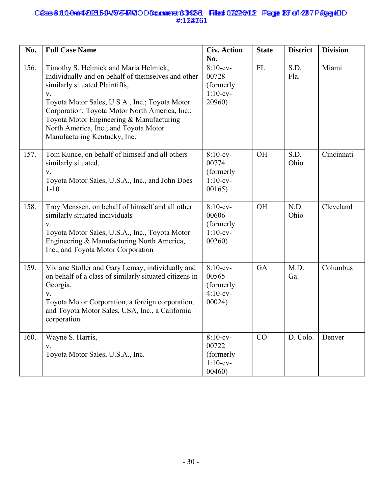## Cases 8:3.0-0nlr0202315-11-VSS-FMOODDcammeret183423-1 Filed 02/246/11.2 Page 837 of 4297 Page & DD #:122761 **6558:30-0a1r0-20235-11-VSS-FRIQODDcomment 3423-3 Filed 02/24/11.2 Page 33 of 42 7 Page 4D** #:124761

| No.  | <b>Full Case Name</b>                                                                                                                                                                                                                                                                                                                                       | <b>Civ. Action</b><br>No.                                  | <b>State</b> | <b>District</b> | <b>Division</b> |
|------|-------------------------------------------------------------------------------------------------------------------------------------------------------------------------------------------------------------------------------------------------------------------------------------------------------------------------------------------------------------|------------------------------------------------------------|--------------|-----------------|-----------------|
| 156. | Timothy S. Helmick and Maria Helmick,<br>Individually and on behalf of themselves and other<br>similarly situated Plaintiffs,<br>V.<br>Toyota Motor Sales, U S A, Inc.; Toyota Motor<br>Corporation; Toyota Motor North America, Inc.;<br>Toyota Motor Engineering & Manufacturing<br>North America, Inc.; and Toyota Motor<br>Manufacturing Kentucky, Inc. | $8:10-cv-$<br>00728<br>(formerly<br>$1:10-cv-$<br>20960)   | <b>FL</b>    | S.D.<br>Fla.    | Miami           |
| 157. | Tom Kunce, on behalf of himself and all others<br>similarly situated,<br>V.<br>Toyota Motor Sales, U.S.A., Inc., and John Does<br>$1 - 10$                                                                                                                                                                                                                  | $8:10$ -cv-<br>00774<br>(formerly<br>$1:10$ -cv-<br>00165) | <b>OH</b>    | S.D.<br>Ohio    | Cincinnati      |
| 158. | Troy Menssen, on behalf of himself and all other<br>similarly situated individuals<br>V.<br>Toyota Motor Sales, U.S.A., Inc., Toyota Motor<br>Engineering & Manufacturing North America,<br>Inc., and Toyota Motor Corporation                                                                                                                              | $8:10$ -cv-<br>00606<br>(formerly<br>$1:10$ -cv-<br>00260) | <b>OH</b>    | N.D.<br>Ohio    | Cleveland       |
| 159. | Viviane Stoller and Gary Lemay, individually and<br>on behalf of a class of similarly situated citizens in<br>Georgia,<br>V.<br>Toyota Motor Corporation, a foreign corporation,<br>and Toyota Motor Sales, USA, Inc., a California<br>corporation.                                                                                                         | $8:10$ -cv-<br>00565<br>(formerly<br>$4:10$ -cv-<br>00024) | GA           | M.D.<br>Ga.     | Columbus        |
| 160. | Wayne S. Harris,<br>V.<br>Toyota Motor Sales, U.S.A., Inc.                                                                                                                                                                                                                                                                                                  | $8:10-cv-$<br>00722<br>(formerly<br>$1:10-cv-$<br>00460    | CO           | D. Colo.        | Denver          |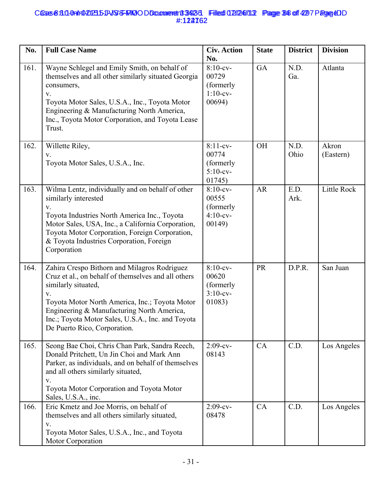## Cases 8:3.0-0nlr0202315-11-VSS-FMOODDcammeret183423-1 Filed 02/246/11.2 Page 348 of 4297 Page & DD #:122762 **6558:30-0a1r0-20235-11-VSS-FRIQODDcomment 3423-3 Filed 02/24/11.2 Page 34 of 42 7 Page 4D** #:124762

| No.  | <b>Full Case Name</b>                                                                                                                                                                                                                                                                                                 | <b>Civ. Action</b><br>No.                                  | <b>State</b> | <b>District</b> | <b>Division</b>    |
|------|-----------------------------------------------------------------------------------------------------------------------------------------------------------------------------------------------------------------------------------------------------------------------------------------------------------------------|------------------------------------------------------------|--------------|-----------------|--------------------|
| 161. | Wayne Schlegel and Emily Smith, on behalf of<br>themselves and all other similarly situated Georgia<br>consumers,<br>${\bf V}.$<br>Toyota Motor Sales, U.S.A., Inc., Toyota Motor<br>Engineering & Manufacturing North America,<br>Inc., Toyota Motor Corporation, and Toyota Lease<br>Trust.                         | $8:10$ -cv-<br>00729<br>(formerly<br>$1:10$ -cv-<br>00694) | <b>GA</b>    | N.D.<br>Ga.     | Atlanta            |
| 162. | Willette Riley,<br>V.<br>Toyota Motor Sales, U.S.A., Inc.                                                                                                                                                                                                                                                             | $8:11-cv-$<br>00774<br>(formerly<br>$5:10-cv-$<br>01745)   | <b>OH</b>    | N.D.<br>Ohio    | Akron<br>(Eastern) |
| 163. | Wilma Lentz, individually and on behalf of other<br>similarly interested<br>V.<br>Toyota Industries North America Inc., Toyota<br>Motor Sales, USA, Inc., a California Corporation,<br>Toyota Motor Corporation, Foreign Corporation,<br>& Toyota Industries Corporation, Foreign<br>Corporation                      | $8:10$ -cv-<br>00555<br>(formerly<br>$4:10$ -cv-<br>00149  | <b>AR</b>    | E.D.<br>Ark.    | <b>Little Rock</b> |
| 164. | Zahira Crespo Bithorn and Milagros Rodriguez<br>Cruz et al., on behalf of themselves and all others<br>similarly situated,<br>V.<br>Toyota Motor North America, Inc.; Toyota Motor<br>Engineering & Manufacturing North America,<br>Inc.; Toyota Motor Sales, U.S.A., Inc. and Toyota<br>De Puerto Rico, Corporation. | $8:10$ -cv-<br>00620<br>(formerly<br>$3:10$ -cv-<br>01083) | <b>PR</b>    | D.P.R.          | San Juan           |
| 165. | Seong Bae Choi, Chris Chan Park, Sandra Reech,<br>Donald Pritchett, Un Jin Choi and Mark Ann<br>Parker, as individuals, and on behalf of themselves<br>and all others similarly situated,<br>V.<br>Toyota Motor Corporation and Toyota Motor<br>Sales, U.S.A., inc.                                                   | $2:09-cv-$<br>08143                                        | CA           | C.D.            | Los Angeles        |
| 166. | Eric Kmetz and Joe Morris, on behalf of<br>themselves and all others similarly situated,<br>V.<br>Toyota Motor Sales, U.S.A., Inc., and Toyota<br>Motor Corporation                                                                                                                                                   | $2:09-cv-$<br>08478                                        | CA           | C.D.            | Los Angeles        |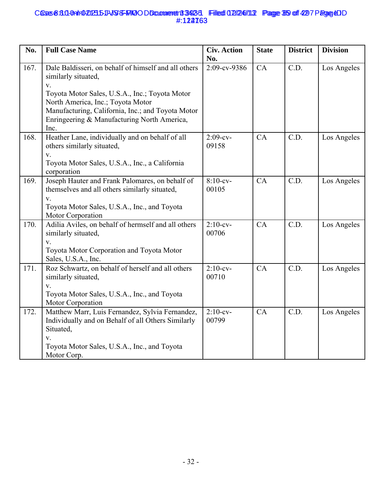## Cases 8:3.0-0nlr0202315-11-VSS-FMOODDcammeret183423-1 Filed 02/246/11.2 Page 859 of 4297 Page & DD #:122763 **6558:30-0a1r0-20235-11-VSS-FRIQODDcomment 3423-3 Filed 02/24/11.2 Page 359 of 4297 Page 4D** #:124763

| No.  | <b>Full Case Name</b>                                                                                                                                                                                                                                                                        | <b>Civ. Action</b><br>No. | <b>State</b> | <b>District</b>   | <b>Division</b> |
|------|----------------------------------------------------------------------------------------------------------------------------------------------------------------------------------------------------------------------------------------------------------------------------------------------|---------------------------|--------------|-------------------|-----------------|
| 167. | Dale Baldisseri, on behalf of himself and all others<br>similarly situated,<br>${\bf V}.$<br>Toyota Motor Sales, U.S.A., Inc.; Toyota Motor<br>North America, Inc.; Toyota Motor<br>Manufacturing, California, Inc.; and Toyota Motor<br>Enringeering & Manufacturing North America,<br>Inc. | 2:09-cv-9386              | CA           | $\overline{C.D.}$ | Los Angeles     |
| 168. | Heather Lane, individually and on behalf of all<br>others similarly situated,<br>$V_{\tau}$<br>Toyota Motor Sales, U.S.A., Inc., a California<br>corporation                                                                                                                                 | $2:09-cv-$<br>09158       | CA           | C.D.              | Los Angeles     |
| 169. | Joseph Hauter and Frank Palomares, on behalf of<br>themselves and all others similarly situated,<br>$\mathbf{V}$ .<br>Toyota Motor Sales, U.S.A., Inc., and Toyota<br>Motor Corporation                                                                                                      | $8:10$ -cv-<br>00105      | CA           | C.D.              | Los Angeles     |
| 170. | Adilia Aviles, on behalf of hermself and all others<br>similarly situated,<br>$V_{\cdot}$<br>Toyota Motor Corporation and Toyota Motor<br>Sales, U.S.A., Inc.                                                                                                                                | $2:10$ -cv-<br>00706      | CA           | C.D.              | Los Angeles     |
| 171. | Roz Schwartz, on behalf of herself and all others<br>similarly situated,<br>V.<br>Toyota Motor Sales, U.S.A., Inc., and Toyota<br>Motor Corporation                                                                                                                                          | $2:10$ -cv-<br>00710      | CA           | C.D.              | Los Angeles     |
| 172. | Matthew Marr, Luis Fernandez, Sylvia Fernandez,<br>Individually and on Behalf of all Others Similarly<br>Situated,<br>$V_{\cdot}$<br>Toyota Motor Sales, U.S.A., Inc., and Toyota<br>Motor Corp.                                                                                             | $2:10$ -cv-<br>00799      | CA           | C.D.              | Los Angeles     |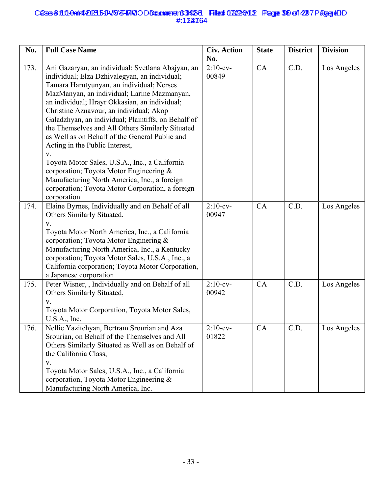## Cases 8:3.0-0nlr0202315-11-VSS-FMOODDcammeret183423-1 Filed 02/246/11.2 Page 360 off 4297 Page &DD #:122764 **6558:30-0a1r0-20235-11-VSS-FRIQODDcomment 3423-3 Filed 02/24/11.2 Page 36 of 42 7 Page 4D** #:124764

| No.  | <b>Full Case Name</b>                                                                                                                                                                                                                                                                                                                                                                                                                                                                                                                                                                                                                                                                                                        | <b>Civ. Action</b><br>No. | <b>State</b> | <b>District</b> | <b>Division</b> |
|------|------------------------------------------------------------------------------------------------------------------------------------------------------------------------------------------------------------------------------------------------------------------------------------------------------------------------------------------------------------------------------------------------------------------------------------------------------------------------------------------------------------------------------------------------------------------------------------------------------------------------------------------------------------------------------------------------------------------------------|---------------------------|--------------|-----------------|-----------------|
| 173. | Ani Gazaryan, an individual; Svetlana Abajyan, an<br>individual; Elza Dzhivalegyan, an individual;<br>Tamara Harutyunyan, an individual; Nerses<br>MazManyan, an individual; Larine Mazmanyan,<br>an individual; Hrayr Okkasian, an individual;<br>Christine Aznavour, an individual; Akop<br>Galadzhyan, an individual; Plaintiffs, on Behalf of<br>the Themselves and All Others Similarly Situated<br>as Well as on Behalf of the General Public and<br>Acting in the Public Interest,<br>$\mathbf V.$<br>Toyota Motor Sales, U.S.A., Inc., a California<br>corporation; Toyota Motor Engineering $\&$<br>Manufacturing North America, Inc., a foreign<br>corporation; Toyota Motor Corporation, a foreign<br>corporation | $2:10$ -cv-<br>00849      | CA           | C.D.            | Los Angeles     |
| 174. | Elaine Byrnes, Individually and on Behalf of all<br>Others Similarly Situated,<br>V.<br>Toyota Motor North America, Inc., a California<br>corporation; Toyota Motor Enginering &<br>Manufacturing North America, Inc., a Kentucky<br>corporation; Toyota Motor Sales, U.S.A., Inc., a<br>California corporation; Toyota Motor Corporation,<br>a Japanese corporation                                                                                                                                                                                                                                                                                                                                                         | $2:10$ -cv-<br>00947      | CA           | C.D.            | Los Angeles     |
| 175. | Peter Wisner, , Individually and on Behalf of all<br>Others Similarly Situated,<br>V.<br>Toyota Motor Corporation, Toyota Motor Sales,<br>U.S.A., Inc.                                                                                                                                                                                                                                                                                                                                                                                                                                                                                                                                                                       | $2:10$ -cv-<br>00942      | CA           | C.D.            | Los Angeles     |
| 176. | Nellie Yazitchyan, Bertram Srourian and Aza<br>Srourian, on Behalf of the Themselves and All<br>Others Similarly Situated as Well as on Behalf of<br>the California Class,<br>V.<br>Toyota Motor Sales, U.S.A., Inc., a California<br>corporation, Toyota Motor Engineering &<br>Manufacturing North America, Inc.                                                                                                                                                                                                                                                                                                                                                                                                           | $2:10$ -cv-<br>01822      | CA           | C.D.            | Los Angeles     |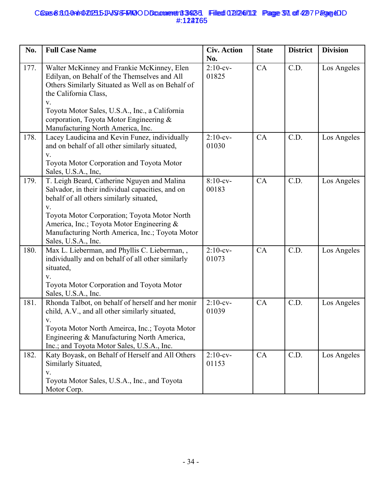## Cases 8:3.0-0nlr0202315-11-VSS-FMOODDcammeret183423-1 Filed 02/246/11.2 Page 971 of 4297 Page CDD #:122765 **6558:311-0alt1020235-11-VSS-FAKO O Document 3342-3 Filed 02/24/113 Page 31 of 42 7 Page 40** #:124765

| No.  | <b>Full Case Name</b>                                                                                                                                                                                                                                                                                                    | <b>Civ. Action</b><br>No. | <b>State</b> | <b>District</b> | <b>Division</b> |
|------|--------------------------------------------------------------------------------------------------------------------------------------------------------------------------------------------------------------------------------------------------------------------------------------------------------------------------|---------------------------|--------------|-----------------|-----------------|
| 177. | Walter McKinney and Frankie McKinney, Elen<br>Edilyan, on Behalf of the Themselves and All<br>Others Similarly Situated as Well as on Behalf of<br>the California Class,<br>V.<br>Toyota Motor Sales, U.S.A., Inc., a California<br>corporation, Toyota Motor Engineering &<br>Manufacturing North America, Inc.         | $2:10$ -cv-<br>01825      | CA           | C.D.            | Los Angeles     |
| 178. | Lacey Laudicina and Kevin Funez, individually<br>and on behalf of all other similarly situated,<br>V.<br>Toyota Motor Corporation and Toyota Motor<br>Sales, U.S.A., Inc,                                                                                                                                                | $2:10$ -cv-<br>01030      | CA           | C.D.            | Los Angeles     |
| 179. | T. Leigh Beard, Catherine Nguyen and Malina<br>Salvador, in their individual capacities, and on<br>behalf of all others similarly situated,<br>V.<br>Toyota Motor Corporation; Toyota Motor North<br>America, Inc.; Toyota Motor Engineering &<br>Manufacturing North America, Inc.; Toyota Motor<br>Sales, U.S.A., Inc. | $8:10$ -cv-<br>00183      | CA           | C.D.            | Los Angeles     |
| 180. | Max L. Lieberman, and Phyllis C. Lieberman, ,<br>individually and on behalf of all other similarly<br>situated,<br>V.<br>Toyota Motor Corporation and Toyota Motor<br>Sales, U.S.A., Inc.                                                                                                                                | $2:10$ -cv-<br>01073      | CA           | C.D.            | Los Angeles     |
| 181. | Rhonda Talbot, on behalf of herself and her monir<br>child, A.V., and all other similarly situated,<br>V.<br>Toyota Motor North Ameirca, Inc.; Toyota Motor<br>Engineering & Manufacturing North America,<br>Inc.; and Toyota Motor Sales, U.S.A., Inc.                                                                  | $2:10$ -cv-<br>01039      | CA           | C.D.            | Los Angeles     |
| 182. | Katy Boyask, on Behalf of Herself and All Others<br>Similarly Situated,<br>V.<br>Toyota Motor Sales, U.S.A., Inc., and Toyota<br>Motor Corp.                                                                                                                                                                             | $2:10$ -cv-<br>01153      | CA           | C.D.            | Los Angeles     |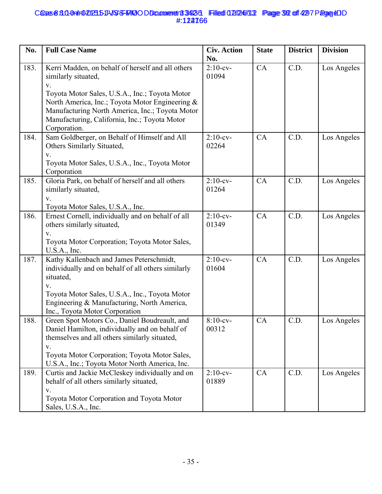## Cases 8:3.0-0nlr0202315-11-VSS-FMOODDcammerent 3423-31 Filed 02/246/11.2 Page 32 of 4297 Page CDD #:122766 **6558:30-0a1r0-20235-11-VSS-FRIQODDcomment 3423-3 Filed 02/24/11.2 Page 32 of 42 7 Page 4D** #:124766

| No.  | <b>Full Case Name</b>                                                                                                                                                                                                                                                                                   | <b>Civ. Action</b><br>No. | <b>State</b> | <b>District</b> | <b>Division</b> |
|------|---------------------------------------------------------------------------------------------------------------------------------------------------------------------------------------------------------------------------------------------------------------------------------------------------------|---------------------------|--------------|-----------------|-----------------|
| 183. | Kerri Madden, on behalf of herself and all others<br>similarly situated,<br>V.<br>Toyota Motor Sales, U.S.A., Inc.; Toyota Motor<br>North America, Inc.; Toyota Motor Engineering &<br>Manufacturing North America, Inc.; Toyota Motor<br>Manufacturing, California, Inc.; Toyota Motor<br>Corporation. | $2:10$ -cv-<br>01094      | CA           | C.D.            | Los Angeles     |
| 184. | Sam Goldberger, on Behalf of Himself and All<br>Others Similarly Situated,<br>V.<br>Toyota Motor Sales, U.S.A., Inc., Toyota Motor<br>Corporation                                                                                                                                                       | $2:10$ -cv-<br>02264      | CA           | C.D.            | Los Angeles     |
| 185. | Gloria Park, on behalf of herself and all others<br>similarly situated,<br>V.<br>Toyota Motor Sales, U.S.A., Inc.                                                                                                                                                                                       | $2:10$ -cv-<br>01264      | CA           | C.D.            | Los Angeles     |
| 186. | Ernest Cornell, individually and on behalf of all<br>others similarly situated,<br>V.<br>Toyota Motor Corporation; Toyota Motor Sales,<br>U.S.A., Inc.                                                                                                                                                  | $2:10$ -cv-<br>01349      | CA           | C.D.            | Los Angeles     |
| 187. | Kathy Kallenbach and James Peterschmidt,<br>individually and on behalf of all others similarly<br>situated,<br>V.<br>Toyota Motor Sales, U.S.A., Inc., Toyota Motor<br>Engineering & Manufacturing, North America,<br>Inc., Toyota Motor Corporation                                                    | $2:10$ -cv-<br>01604      | CA           | C.D.            | Los Angeles     |
| 188. | Green Spot Motors Co., Daniel Boudreault, and<br>Daniel Hamilton, individually and on behalf of<br>themselves and all others similarly situated,<br>V.<br>Toyota Motor Corporation; Toyota Motor Sales,<br>U.S.A., Inc.; Toyota Motor North America, Inc.                                               | 8:10-cv-<br>00312         | <b>CA</b>    | C.D.            | Los Angeles     |
| 189. | Curtis and Jackie McCleskey individually and on<br>behalf of all others similarly situated,<br>V.<br>Toyota Motor Corporation and Toyota Motor<br>Sales, U.S.A., Inc.                                                                                                                                   | $2:10$ -cv-<br>01889      | CA           | C.D.            | Los Angeles     |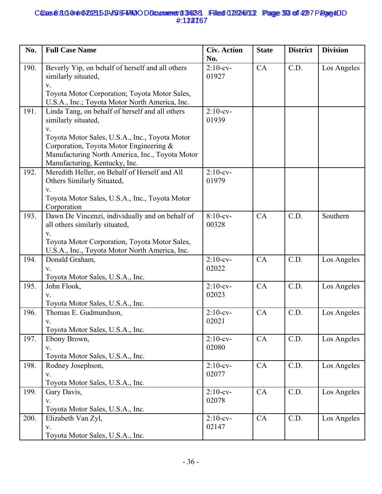## Cases 8:3.0-0nlr0202315-11-VSS-FMOODDcammerent 3423-31 Filed 02/246/11.2 Page 393 of 4297 Page &DD #:122767 **6558:30-0a1r0-20235-11-VSS-FRIQODDcomment 3423-3 Filed 02/24/11.2 Page 393 of 4297 Page 4D** #:124767

| No.  | <b>Full Case Name</b>                                                                                                                                                                                                                                         | <b>Civ. Action</b><br>No. | <b>State</b> | <b>District</b> | <b>Division</b> |
|------|---------------------------------------------------------------------------------------------------------------------------------------------------------------------------------------------------------------------------------------------------------------|---------------------------|--------------|-----------------|-----------------|
| 190. | Beverly Yip, on behalf of herself and all others<br>similarly situated,<br>V.<br>Toyota Motor Corporation; Toyota Motor Sales,<br>U.S.A., Inc.; Toyota Motor North America, Inc.                                                                              | $2:10$ -cv-<br>01927      | CA           | C.D.            | Los Angeles     |
| 191. | Linda Tang, on behalf of herself and all others<br>similarly situated,<br>V.<br>Toyota Motor Sales, U.S.A., Inc., Toyota Motor<br>Corporation, Toyota Motor Engineering &<br>Manufacturing North America, Inc., Toyota Motor<br>Manufacturing, Kentucky, Inc. | $2:10$ -cv-<br>01939      |              |                 |                 |
| 192. | Meredith Heller, on Behalf of Herself and All<br>Others Similarly Situated,<br>V.<br>Toyota Motor Sales, U.S.A., Inc., Toyota Motor<br>Corporation                                                                                                            | $2:10$ -cv-<br>01979      |              |                 |                 |
| 193. | Dawn De Vincenzi, individually and on behalf of<br>all others similarly situated,<br>V.<br>Toyota Motor Corporation, Toyota Motor Sales,<br>U.S.A., Inc., Toyota Motor North America, Inc.                                                                    | $8:10$ -cv-<br>00328      | CA           | C.D.            | Southern        |
| 194. | Donald Graham,<br>$V_{\cdot}$<br>Toyota Motor Sales, U.S.A., Inc.                                                                                                                                                                                             | $2:10$ -cv-<br>02022      | CA           | C.D.            | Los Angeles     |
| 195. | John Flook,<br>V.<br>Toyota Motor Sales, U.S.A., Inc.                                                                                                                                                                                                         | $2:10$ -cv-<br>02023      | CA           | C.D.            | Los Angeles     |
| 196. | Thomas E. Gudmundson,<br>Toyota Motor Sales, U.S.A., Inc.                                                                                                                                                                                                     | $2:10$ -cv-<br>02021      | CA           | C.D.            | Los Angeles     |
| 197. | Ebony Brown,<br>V.<br>Toyota Motor Sales, U.S.A., Inc.                                                                                                                                                                                                        | $2:10$ -cv-<br>02080      | CA           | C.D.            | Los Angeles     |
| 198. | Rodney Josephson,<br>V.<br>Toyota Motor Sales, U.S.A., Inc.                                                                                                                                                                                                   | $2:10$ -cv-<br>02077      | CA           | C.D.            | Los Angeles     |
| 199. | Gary Davis,<br>V.<br>Toyota Motor Sales, U.S.A., Inc.                                                                                                                                                                                                         | $2:10$ -cv-<br>02078      | CA           | C.D.            | Los Angeles     |
| 200. | Elizabeth Van Zyl,<br>${\bf V}.$<br>Toyota Motor Sales, U.S.A., Inc.                                                                                                                                                                                          | $2:10$ -cv-<br>02147      | CA           | C.D.            | Los Angeles     |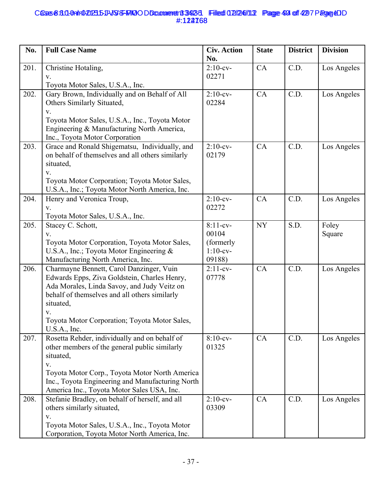## Cases 8:3.0-0nlr0202315-11-VSS-FMOODDcammeret 13-923-31 Filed 02/246/11.2 Page 494 of 4297 Page CDD #:122768 **6558:30-0a1r0-20235-11-VSS-FRIQODDcomment 3423-3 Filed 02/24/113 Page 40 of 427 Page 40** #:124768

| No.  | <b>Full Case Name</b>                                                                                                                                                                                                                                                        | <b>Civ. Action</b><br>No.                                 | <b>State</b> | <b>District</b> | <b>Division</b> |
|------|------------------------------------------------------------------------------------------------------------------------------------------------------------------------------------------------------------------------------------------------------------------------------|-----------------------------------------------------------|--------------|-----------------|-----------------|
| 201. | Christine Hotaling,<br>V.<br>Toyota Motor Sales, U.S.A., Inc.                                                                                                                                                                                                                | $2:10$ -cv-<br>02271                                      | CA           | C.D.            | Los Angeles     |
| 202. | Gary Brown, Individually and on Behalf of All<br>Others Similarly Situated,<br>V.<br>Toyota Motor Sales, U.S.A., Inc., Toyota Motor<br>Engineering & Manufacturing North America,<br>Inc., Toyota Motor Corporation                                                          | $2:10$ -cv-<br>02284                                      | CA           | C.D.            | Los Angeles     |
| 203. | Grace and Ronald Shigematsu, Individually, and<br>on behalf of themselves and all others similarly<br>situated,<br>V.<br>Toyota Motor Corporation; Toyota Motor Sales,<br>U.S.A., Inc.; Toyota Motor North America, Inc.                                                     | $2:10$ -cv-<br>02179                                      | CA           | C.D.            | Los Angeles     |
| 204. | Henry and Veronica Troup,<br>V.<br>Toyota Motor Sales, U.S.A., Inc.                                                                                                                                                                                                          | $2:10$ -cv-<br>02272                                      | CA           | C.D.            | Los Angeles     |
| 205. | Stacey C. Schott,<br>V.<br>Toyota Motor Corporation, Toyota Motor Sales,<br>U.S.A., Inc.; Toyota Motor Engineering &<br>Manufacturing North America, Inc.                                                                                                                    | $8:11-cv-$<br>00104<br>(formerly<br>$1:10$ -cv-<br>09188) | <b>NY</b>    | S.D.            | Foley<br>Square |
| 206. | Charmayne Bennett, Carol Danzinger, Vuin<br>Edwards Epps, Ziva Goldstein, Charles Henry,<br>Ada Morales, Linda Savoy, and Judy Veitz on<br>behalf of themselves and all others similarly<br>situated,<br>V.<br>Toyota Motor Corporation; Toyota Motor Sales,<br>U.S.A., Inc. | $2:11-cv-$<br>07778                                       | CA           | C.D.            | Los Angeles     |
| 207. | Rosetta Rehder, individually and on behalf of<br>other members of the general public similarly<br>situated,<br>V.<br>Toyota Motor Corp., Toyota Motor North America<br>Inc., Toyota Engineering and Manufacturing North<br>America Inc., Toyota Motor Sales USA, Inc.        | $8:10$ -cv-<br>01325                                      | CA           | C.D.            | Los Angeles     |
| 208. | Stefanie Bradley, on behalf of herself, and all<br>others similarly situated,<br>V.<br>Toyota Motor Sales, U.S.A., Inc., Toyota Motor<br>Corporation, Toyota Motor North America, Inc.                                                                                       | $2:10$ -cv-<br>03309                                      | CA           | C.D.            | Los Angeles     |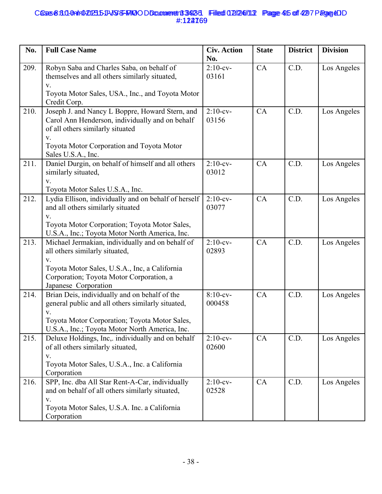## Cases 8:3.0-0nlr0202315-11-VSS-FMOODDcammeret183423-1 Filed 02/246/11.2 Page 415 of 4297 Page & DD #:122769 **6558:311-0a1r0-20235-11-VSS-FRIQODDcomment 3423-3 Filed 02/24/113 Page 415 of 42 7 Page 4D** #:124769

| No.  | <b>Full Case Name</b>                                                                                                                                                                                                | <b>Civ. Action</b><br>No. | <b>State</b> | <b>District</b> | <b>Division</b> |
|------|----------------------------------------------------------------------------------------------------------------------------------------------------------------------------------------------------------------------|---------------------------|--------------|-----------------|-----------------|
| 209. | Robyn Saba and Charles Saba, on behalf of<br>themselves and all others similarly situated,<br>V.<br>Toyota Motor Sales, USA., Inc., and Toyota Motor<br>Credit Corp.                                                 | $2:10$ -cv-<br>03161      | CA           | C.D.            | Los Angeles     |
| 210. | Joseph J. and Nancy L Boppre, Howard Stern, and<br>Carol Ann Henderson, individually and on behalf<br>of all others similarly situated<br>$V_{r}$<br>Toyota Motor Corporation and Toyota Motor<br>Sales U.S.A., Inc. | $2:10$ -cv-<br>03156      | CA           | C.D.            | Los Angeles     |
| 211. | Daniel Durgin, on behalf of himself and all others<br>similarly situated,<br>V.<br>Toyota Motor Sales U.S.A., Inc.                                                                                                   | $2:10$ -cv-<br>03012      | CA           | C.D.            | Los Angeles     |
| 212. | Lydia Ellison, individually and on behalf of herself<br>and all others similarly situated<br>V.<br>Toyota Motor Corporation; Toyota Motor Sales,<br>U.S.A., Inc.; Toyota Motor North America, Inc.                   | $2:10$ -cv-<br>03077      | CA           | C.D.            | Los Angeles     |
| 213. | Michael Jermakian, individually and on behalf of<br>all others similarly situated,<br>V.<br>Toyota Motor Sales, U.S.A., Inc, a California<br>Corporation; Toyota Motor Corporation, a<br>Japanese Corporation        | $2:10$ -cv-<br>02893      | CA           | C.D.            | Los Angeles     |
| 214. | Brian Deis, individually and on behalf of the<br>general public and all others similarly situated,<br>V.<br>Toyota Motor Corporation; Toyota Motor Sales.<br>U.S.A., Inc.; Toyota Motor North America, Inc.          | $8:10$ -cv-<br>000458     | CA           | C.D.            | Los Angeles     |
| 215. | Deluxe Holdings, Inc,. individually and on behalf<br>of all others similarly situated,<br>V.<br>Toyota Motor Sales, U.S.A., Inc. a California<br>Corporation                                                         | $2:10$ -cv-<br>02600      | CA           | C.D.            | Los Angeles     |
| 216. | SPP, Inc. dba All Star Rent-A-Car, individually<br>and on behalf of all others similarly situated,<br>V.<br>Toyota Motor Sales, U.S.A. Inc. a California<br>Corporation                                              | $2:10$ -cv-<br>02528      | CA           | C.D.            | Los Angeles     |